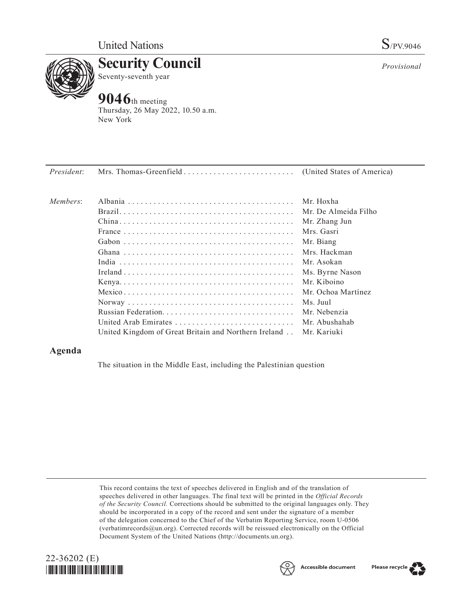

**Security Council** Seventy-seventh year

# **9046**th meeting

Thursday, 26 May 2022, 10.50 a.m. New York

| Members: |                                                                    | Mr. Hoxha            |
|----------|--------------------------------------------------------------------|----------------------|
|          |                                                                    | Mr. De Almeida Filho |
|          |                                                                    | Mr. Zhang Jun        |
|          |                                                                    | Mrs. Gasri           |
|          |                                                                    | Mr. Biang            |
|          |                                                                    | Mrs. Hackman         |
|          |                                                                    | Mr. Asokan           |
|          |                                                                    | Ms. Byrne Nason      |
|          |                                                                    | Mr. Kiboino          |
|          |                                                                    | Mr. Ochoa Martínez   |
|          |                                                                    | Ms. Juul             |
|          |                                                                    | Mr. Nebenzia         |
|          | United Arab Emirates                                               | Mr. Abushahab        |
|          | United Kingdom of Great Britain and Northern Ireland . Mr. Kariuki |                      |

## **Agenda**

The situation in the Middle East, including the Palestinian question

This record contains the text of speeches delivered in English and of the translation of speeches delivered in other languages. The final text will be printed in the *Official Records of the Security Council.* Corrections should be submitted to the original languages only. They should be incorporated in a copy of the record and sent under the signature of a member of the delegation concerned to the Chief of the Verbatim Reporting Service, room U-0506 (verbatimrecords@un.org). Corrected records will be reissued electronically on the Official Document System of the United Nations (http://documents.un.org).







*Provisional*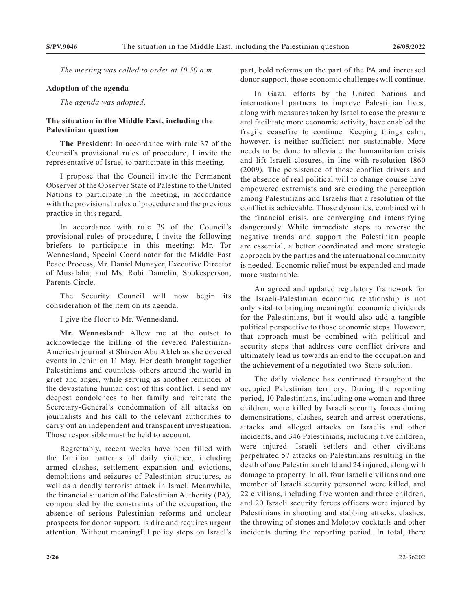*The meeting was called to order at 10.50 a.m.*

#### **Adoption of the agenda**

*The agenda was adopted.*

### **The situation in the Middle East, including the Palestinian question**

**The President**: In accordance with rule 37 of the Council's provisional rules of procedure, I invite the representative of Israel to participate in this meeting.

I propose that the Council invite the Permanent Observer of the Observer State of Palestine to the United Nations to participate in the meeting, in accordance with the provisional rules of procedure and the previous practice in this regard.

In accordance with rule 39 of the Council's provisional rules of procedure, I invite the following briefers to participate in this meeting: Mr. Tor Wennesland, Special Coordinator for the Middle East Peace Process; Mr. Daniel Munayer, Executive Director of Musalaha; and Ms. Robi Damelin, Spokesperson, Parents Circle.

The Security Council will now begin its consideration of the item on its agenda.

I give the floor to Mr. Wennesland.

**Mr. Wennesland**: Allow me at the outset to acknowledge the killing of the revered Palestinian-American journalist Shireen Abu Akleh as she covered events in Jenin on 11 May. Her death brought together Palestinians and countless others around the world in grief and anger, while serving as another reminder of the devastating human cost of this conflict. I send my deepest condolences to her family and reiterate the Secretary-General's condemnation of all attacks on journalists and his call to the relevant authorities to carry out an independent and transparent investigation. Those responsible must be held to account.

Regrettably, recent weeks have been filled with the familiar patterns of daily violence, including armed clashes, settlement expansion and evictions, demolitions and seizures of Palestinian structures, as well as a deadly terrorist attack in Israel. Meanwhile, the financial situation of the Palestinian Authority (PA), compounded by the constraints of the occupation, the absence of serious Palestinian reforms and unclear prospects for donor support, is dire and requires urgent attention. Without meaningful policy steps on Israel's part, bold reforms on the part of the PA and increased donor support, those economic challenges will continue.

In Gaza, efforts by the United Nations and international partners to improve Palestinian lives, along with measures taken by Israel to ease the pressure and facilitate more economic activity, have enabled the fragile ceasefire to continue. Keeping things calm, however, is neither sufficient nor sustainable. More needs to be done to alleviate the humanitarian crisis and lift Israeli closures, in line with resolution 1860 (2009). The persistence of those conflict drivers and the absence of real political will to change course have empowered extremists and are eroding the perception among Palestinians and Israelis that a resolution of the conflict is achievable. Those dynamics, combined with the financial crisis, are converging and intensifying dangerously. While immediate steps to reverse the negative trends and support the Palestinian people are essential, a better coordinated and more strategic approach by the parties and the international community is needed. Economic relief must be expanded and made more sustainable.

An agreed and updated regulatory framework for the Israeli-Palestinian economic relationship is not only vital to bringing meaningful economic dividends for the Palestinians, but it would also add a tangible political perspective to those economic steps. However, that approach must be combined with political and security steps that address core conflict drivers and ultimately lead us towards an end to the occupation and the achievement of a negotiated two-State solution.

The daily violence has continued throughout the occupied Palestinian territory. During the reporting period, 10 Palestinians, including one woman and three children, were killed by Israeli security forces during demonstrations, clashes, search-and-arrest operations, attacks and alleged attacks on Israelis and other incidents, and 346 Palestinians, including five children, were injured. Israeli settlers and other civilians perpetrated 57 attacks on Palestinians resulting in the death of one Palestinian child and 24 injured, along with damage to property. In all, four Israeli civilians and one member of Israeli security personnel were killed, and 22 civilians, including five women and three children, and 20 Israeli security forces officers were injured by Palestinians in shooting and stabbing attacks, clashes, the throwing of stones and Molotov cocktails and other incidents during the reporting period. In total, there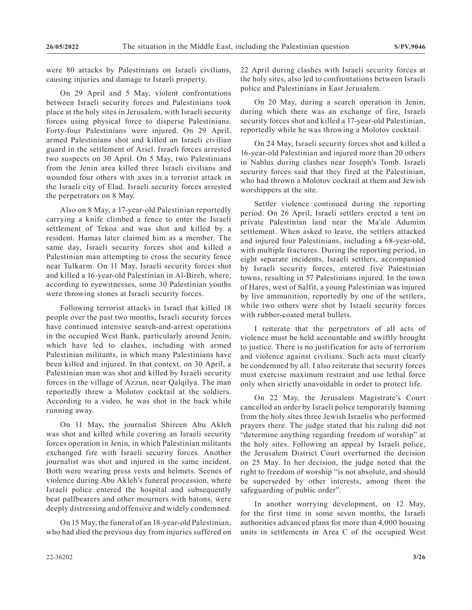were 80 attacks by Palestinians on Israeli civilians, causing injuries and damage to Israeli property.

On 29 April and 5 May, violent confrontations between Israeli security forces and Palestinians took place at the holy sites in Jerusalem, with Israeli security forces using physical force to disperse Palestinians. Forty-four Palestinians were injured. On 29 April, armed Palestinians shot and killed an Israeli civilian guard in the settlement of Ariel. Israeli forces arrested two suspects on 30 April. On 5 May, two Palestinians from the Jenin area killed three Israeli civilians and wounded four others with axes in a terrorist attack in the Israeli city of Elad. Israeli security forces arrested the perpetrators on 8 May.

Also on 8 May, a 17-year-old Palestinian reportedly carrying a knife climbed a fence to enter the Israeli settlement of Tekoa and was shot and killed by a resident. Hamas later claimed him as a member. The same day, Israeli security forces shot and killed a Palestinian man attempting to cross the security fence near Tulkarm. On 11 May, Israeli security forces shot and killed a 16-year-old Palestinian in Al-Bireh, where, according to eyewitnesses, some 30 Palestinian youths were throwing stones at Israeli security forces.

Following terrorist attacks in Israel that killed 18 people over the past two months, Israeli security forces have continued intensive search-and-arrest operations in the occupied West Bank, particularly around Jenin, which have led to clashes, including with armed Palestinian militants, in which many Palestinians have been killed and injured. In that context, on 30 April, a Palestinian man was shot and killed by Israeli security forces in the village of Azzun, near Qalqilya. The man reportedly threw a Molotov cocktail at the soldiers. According to a video, he was shot in the back while running away.

On 11 May, the journalist Shireen Abu Akleh was shot and killed while covering an Israeli security forces operation in Jenin, in which Palestinian militants exchanged fire with Israeli security forces. Another journalist was shot and injured in the same incident. Both were wearing press vests and helmets. Scenes of violence during Abu Akleh's funeral procession, where Israeli police entered the hospital and subsequently beat pallbearers and other mourners with batons, were deeply distressing and offensive and widely condemned.

On 15 May, the funeral of an 18-year-old Palestinian, who had died the previous day from injuries suffered on 22 April during clashes with Israeli security forces at the holy sites, also led to confrontations between Israeli police and Palestinians in East Jerusalem.

On 20 May, during a search operation in Jenin, during which there was an exchange of fire, Israeli security forces shot and killed a 17-year-old Palestinian, reportedly while he was throwing a Molotov cocktail.

On 24 May, Israeli security forces shot and killed a 16-year-old Palestinian and injured more than 20 others in Nablus during clashes near Joseph's Tomb. Israeli security forces said that they fired at the Palestinian, who had thrown a Molotov cocktail at them and Jewish worshippers at the site.

Settler violence continued during the reporting period. On 26 April, Israeli settlers erected a tent on private Palestinian land near the Ma'ale Adumim settlement. When asked to leave, the settlers attacked and injured four Palestinians, including a 68-year-old, with multiple fractures. During the reporting period, in eight separate incidents, Israeli settlers, accompanied by Israeli security forces, entered five Palestinian towns, resulting in 57 Palestinians injured. In the town of Hares, west of Salfit, a young Palestinian was injured by live ammunition, reportedly by one of the settlers, while two others were shot by Israeli security forces with rubber-coated metal bullets.

I reiterate that the perpetrators of all acts of violence must be held accountable and swiftly brought to justice. There is no justification for acts of terrorism and violence against civilians. Such acts must clearly be condemned by all. I also reiterate that security forces must exercise maximum restraint and use lethal force only when strictly unavoidable in order to protect life.

On 22 May, the Jerusalem Magistrate's Court cancelled an order by Israeli police temporarily banning from the holy sites three Jewish Israelis who performed prayers there. The judge stated that his ruling did not "determine anything regarding freedom of worship" at the holy sites. Following an appeal by Israeli police, the Jerusalem District Court overturned the decision on 25 May. In her decision, the judge noted that the right to freedom of worship "is not absolute, and should be superseded by other interests, among them the safeguarding of public order".

In another worrying development, on 12 May, for the first time in some seven months, the Israeli authorities advanced plans for more than 4,000 housing units in settlements in Area C of the occupied West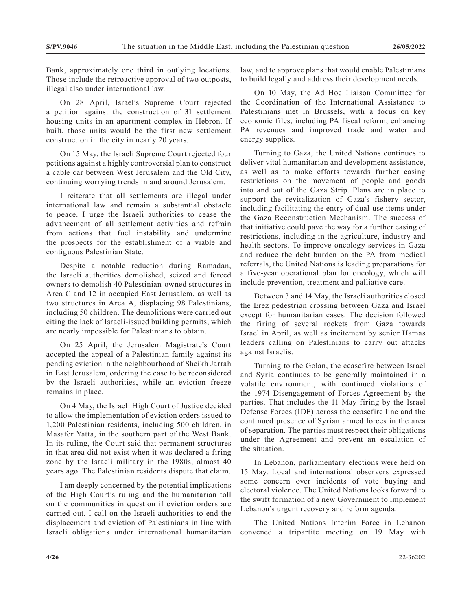Bank, approximately one third in outlying locations. Those include the retroactive approval of two outposts, illegal also under international law.

On 28 April, Israel's Supreme Court rejected a petition against the construction of 31 settlement housing units in an apartment complex in Hebron. If built, those units would be the first new settlement construction in the city in nearly 20 years.

On 15 May, the Israeli Supreme Court rejected four petitions against a highly controversial plan to construct a cable car between West Jerusalem and the Old City, continuing worrying trends in and around Jerusalem.

I reiterate that all settlements are illegal under international law and remain a substantial obstacle to peace. I urge the Israeli authorities to cease the advancement of all settlement activities and refrain from actions that fuel instability and undermine the prospects for the establishment of a viable and contiguous Palestinian State.

Despite a notable reduction during Ramadan, the Israeli authorities demolished, seized and forced owners to demolish 40 Palestinian-owned structures in Area C and 12 in occupied East Jerusalem, as well as two structures in Area A, displacing 98 Palestinians, including 50 children. The demolitions were carried out citing the lack of Israeli-issued building permits, which are nearly impossible for Palestinians to obtain.

On 25 April, the Jerusalem Magistrate's Court accepted the appeal of a Palestinian family against its pending eviction in the neighbourhood of Sheikh Jarrah in East Jerusalem, ordering the case to be reconsidered by the Israeli authorities, while an eviction freeze remains in place.

On 4 May, the Israeli High Court of Justice decided to allow the implementation of eviction orders issued to 1,200 Palestinian residents, including 500 children, in Masafer Yatta, in the southern part of the West Bank. In its ruling, the Court said that permanent structures in that area did not exist when it was declared a firing zone by the Israeli military in the 1980s, almost 40 years ago. The Palestinian residents dispute that claim.

I am deeply concerned by the potential implications of the High Court's ruling and the humanitarian toll on the communities in question if eviction orders are carried out. I call on the Israeli authorities to end the displacement and eviction of Palestinians in line with Israeli obligations under international humanitarian

law, and to approve plans that would enable Palestinians to build legally and address their development needs.

On 10 May, the Ad Hoc Liaison Committee for the Coordination of the International Assistance to Palestinians met in Brussels, with a focus on key economic files, including PA fiscal reform, enhancing PA revenues and improved trade and water and energy supplies.

Turning to Gaza, the United Nations continues to deliver vital humanitarian and development assistance, as well as to make efforts towards further easing restrictions on the movement of people and goods into and out of the Gaza Strip. Plans are in place to support the revitalization of Gaza's fishery sector, including facilitating the entry of dual-use items under the Gaza Reconstruction Mechanism. The success of that initiative could pave the way for a further easing of restrictions, including in the agriculture, industry and health sectors. To improve oncology services in Gaza and reduce the debt burden on the PA from medical referrals, the United Nations is leading preparations for a five-year operational plan for oncology, which will include prevention, treatment and palliative care.

Between 3 and 14 May, the Israeli authorities closed the Erez pedestrian crossing between Gaza and Israel except for humanitarian cases. The decision followed the firing of several rockets from Gaza towards Israel in April, as well as incitement by senior Hamas leaders calling on Palestinians to carry out attacks against Israelis.

Turning to the Golan, the ceasefire between Israel and Syria continues to be generally maintained in a volatile environment, with continued violations of the 1974 Disengagement of Forces Agreement by the parties. That includes the 11 May firing by the Israel Defense Forces (IDF) across the ceasefire line and the continued presence of Syrian armed forces in the area of separation. The parties must respect their obligations under the Agreement and prevent an escalation of the situation.

In Lebanon, parliamentary elections were held on 15 May. Local and international observers expressed some concern over incidents of vote buying and electoral violence. The United Nations looks forward to the swift formation of a new Government to implement Lebanon's urgent recovery and reform agenda.

The United Nations Interim Force in Lebanon convened a tripartite meeting on 19 May with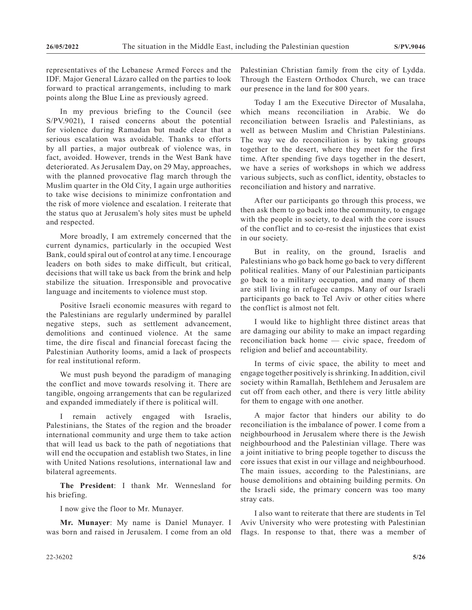representatives of the Lebanese Armed Forces and the IDF. Major General Lázaro called on the parties to look forward to practical arrangements, including to mark points along the Blue Line as previously agreed.

In my previous briefing to the Council (see S/PV.9021), I raised concerns about the potential for violence during Ramadan but made clear that a serious escalation was avoidable. Thanks to efforts by all parties, a major outbreak of violence was, in fact, avoided. However, trends in the West Bank have deteriorated. As Jerusalem Day, on 29 May, approaches, with the planned provocative flag march through the Muslim quarter in the Old City, I again urge authorities to take wise decisions to minimize confrontation and the risk of more violence and escalation. I reiterate that the status quo at Jerusalem's holy sites must be upheld and respected.

More broadly, I am extremely concerned that the current dynamics, particularly in the occupied West Bank, could spiral out of control at any time. I encourage leaders on both sides to make difficult, but critical, decisions that will take us back from the brink and help stabilize the situation. Irresponsible and provocative language and incitements to violence must stop.

Positive Israeli economic measures with regard to the Palestinians are regularly undermined by parallel negative steps, such as settlement advancement, demolitions and continued violence. At the same time, the dire fiscal and financial forecast facing the Palestinian Authority looms, amid a lack of prospects for real institutional reform.

We must push beyond the paradigm of managing the conflict and move towards resolving it. There are tangible, ongoing arrangements that can be regularized and expanded immediately if there is political will.

I remain actively engaged with Israelis, Palestinians, the States of the region and the broader international community and urge them to take action that will lead us back to the path of negotiations that will end the occupation and establish two States, in line with United Nations resolutions, international law and bilateral agreements.

**The President**: I thank Mr. Wennesland for his briefing.

I now give the floor to Mr. Munayer.

**Mr. Munayer**: My name is Daniel Munayer. I was born and raised in Jerusalem. I come from an old Palestinian Christian family from the city of Lydda. Through the Eastern Orthodox Church, we can trace our presence in the land for 800 years.

Today I am the Executive Director of Musalaha, which means reconciliation in Arabic. We do reconciliation between Israelis and Palestinians, as well as between Muslim and Christian Palestinians. The way we do reconciliation is by taking groups together to the desert, where they meet for the first time. After spending five days together in the desert, we have a series of workshops in which we address various subjects, such as conflict, identity, obstacles to reconciliation and history and narrative.

After our participants go through this process, we then ask them to go back into the community, to engage with the people in society, to deal with the core issues of the conflict and to co-resist the injustices that exist in our society.

But in reality, on the ground, Israelis and Palestinians who go back home go back to very different political realities. Many of our Palestinian participants go back to a military occupation, and many of them are still living in refugee camps. Many of our Israeli participants go back to Tel Aviv or other cities where the conflict is almost not felt.

I would like to highlight three distinct areas that are damaging our ability to make an impact regarding reconciliation back home — civic space, freedom of religion and belief and accountability.

In terms of civic space, the ability to meet and engage together positively is shrinking. In addition, civil society within Ramallah, Bethlehem and Jerusalem are cut off from each other, and there is very little ability for them to engage with one another.

A major factor that hinders our ability to do reconciliation is the imbalance of power. I come from a neighbourhood in Jerusalem where there is the Jewish neighbourhood and the Palestinian village. There was a joint initiative to bring people together to discuss the core issues that exist in our village and neighbourhood. The main issues, according to the Palestinians, are house demolitions and obtaining building permits. On the Israeli side, the primary concern was too many stray cats.

I also want to reiterate that there are students in Tel Aviv University who were protesting with Palestinian flags. In response to that, there was a member of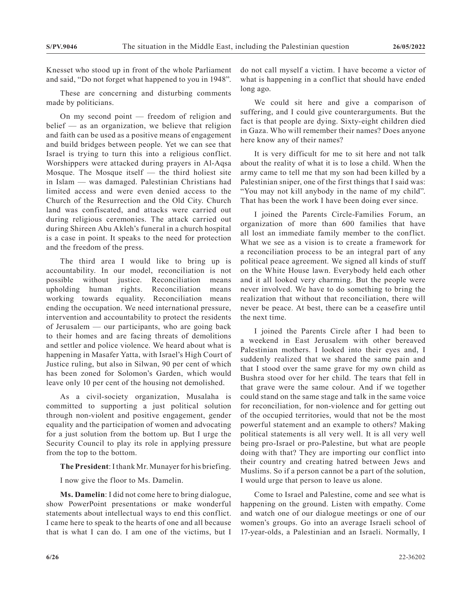Knesset who stood up in front of the whole Parliament and said, "Do not forget what happened to you in 1948".

These are concerning and disturbing comments made by politicians.

On my second point — freedom of religion and belief — as an organization, we believe that religion and faith can be used as a positive means of engagement and build bridges between people. Yet we can see that Israel is trying to turn this into a religious conflict. Worshippers were attacked during prayers in Al-Aqsa Mosque. The Mosque itself  $-$  the third holiest site in Islam — was damaged. Palestinian Christians had limited access and were even denied access to the Church of the Resurrection and the Old City. Church land was confiscated, and attacks were carried out during religious ceremonies. The attack carried out during Shireen Abu Akleh's funeral in a church hospital is a case in point. It speaks to the need for protection and the freedom of the press.

The third area I would like to bring up is accountability. In our model, reconciliation is not possible without justice. Reconciliation means upholding human rights. Reconciliation means working towards equality. Reconciliation means ending the occupation. We need international pressure, intervention and accountability to protect the residents of Jerusalem — our participants, who are going back to their homes and are facing threats of demolitions and settler and police violence. We heard about what is happening in Masafer Yatta, with Israel's High Court of Justice ruling, but also in Silwan, 90 per cent of which has been zoned for Solomon's Garden, which would leave only 10 per cent of the housing not demolished.

As a civil-society organization, Musalaha is committed to supporting a just political solution through non-violent and positive engagement, gender equality and the participation of women and advocating for a just solution from the bottom up. But I urge the Security Council to play its role in applying pressure from the top to the bottom.

**The President**: I thank Mr. Munayer for his briefing.

I now give the floor to Ms. Damelin.

**Ms. Damelin**: I did not come here to bring dialogue, show PowerPoint presentations or make wonderful statements about intellectual ways to end this conflict. I came here to speak to the hearts of one and all because that is what I can do. I am one of the victims, but I do not call myself a victim. I have become a victor of what is happening in a conflict that should have ended long ago.

We could sit here and give a comparison of suffering, and I could give counterarguments. But the fact is that people are dying. Sixty-eight children died in Gaza. Who will remember their names? Does anyone here know any of their names?

It is very difficult for me to sit here and not talk about the reality of what it is to lose a child. When the army came to tell me that my son had been killed by a Palestinian sniper, one of the first things that I said was: "You may not kill anybody in the name of my child". That has been the work I have been doing ever since.

I joined the Parents Circle-Families Forum, an organization of more than 600 families that have all lost an immediate family member to the conflict. What we see as a vision is to create a framework for a reconciliation process to be an integral part of any political peace agreement. We signed all kinds of stuff on the White House lawn. Everybody held each other and it all looked very charming. But the people were never involved. We have to do something to bring the realization that without that reconciliation, there will never be peace. At best, there can be a ceasefire until the next time.

I joined the Parents Circle after I had been to a weekend in East Jerusalem with other bereaved Palestinian mothers. I looked into their eyes and, I suddenly realized that we shared the same pain and that I stood over the same grave for my own child as Bushra stood over for her child. The tears that fell in that grave were the same colour. And if we together could stand on the same stage and talk in the same voice for reconciliation, for non-violence and for getting out of the occupied territories, would that not be the most powerful statement and an example to others? Making political statements is all very well. It is all very well being pro-Israel or pro-Palestine, but what are people doing with that? They are importing our conflict into their country and creating hatred between Jews and Muslims. So if a person cannot be a part of the solution, I would urge that person to leave us alone.

Come to Israel and Palestine, come and see what is happening on the ground. Listen with empathy. Come and watch one of our dialogue meetings or one of our women's groups. Go into an average Israeli school of 17-year-olds, a Palestinian and an Israeli. Normally, I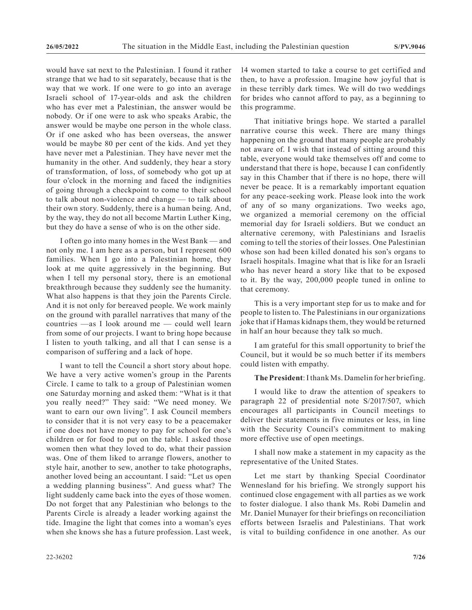would have sat next to the Palestinian. I found it rather strange that we had to sit separately, because that is the way that we work. If one were to go into an average Israeli school of 17-year-olds and ask the children who has ever met a Palestinian, the answer would be nobody. Or if one were to ask who speaks Arabic, the answer would be maybe one person in the whole class. Or if one asked who has been overseas, the answer would be maybe 80 per cent of the kids. And yet they have never met a Palestinian. They have never met the humanity in the other. And suddenly, they hear a story of transformation, of loss, of somebody who got up at four o'clock in the morning and faced the indignities of going through a checkpoint to come to their school to talk about non-violence and change — to talk about their own story. Suddenly, there is a human being. And, by the way, they do not all become Martin Luther King, but they do have a sense of who is on the other side.

I often go into many homes in the West Bank — and not only me. I am here as a person, but I represent 600 families. When I go into a Palestinian home, they look at me quite aggressively in the beginning. But when I tell my personal story, there is an emotional breakthrough because they suddenly see the humanity. What also happens is that they join the Parents Circle. And it is not only for bereaved people. We work mainly on the ground with parallel narratives that many of the countries —as I look around me — could well learn from some of our projects. I want to bring hope because I listen to youth talking, and all that I can sense is a comparison of suffering and a lack of hope.

I want to tell the Council a short story about hope. We have a very active women's group in the Parents Circle. I came to talk to a group of Palestinian women one Saturday morning and asked them: "What is it that you really need?" They said: "We need money. We want to earn our own living". I ask Council members to consider that it is not very easy to be a peacemaker if one does not have money to pay for school for one's children or for food to put on the table. I asked those women then what they loved to do, what their passion was. One of them liked to arrange flowers, another to style hair, another to sew, another to take photographs, another loved being an accountant. I said: "Let us open a wedding planning business". And guess what? The light suddenly came back into the eyes of those women. Do not forget that any Palestinian who belongs to the Parents Circle is already a leader working against the tide. Imagine the light that comes into a woman's eyes when she knows she has a future profession. Last week,

That initiative brings hope. We started a parallel narrative course this week. There are many things happening on the ground that many people are probably not aware of. I wish that instead of sitting around this table, everyone would take themselves off and come to understand that there is hope, because I can confidently say in this Chamber that if there is no hope, there will never be peace. It is a remarkably important equation for any peace-seeking work. Please look into the work of any of so many organizations. Two weeks ago, we organized a memorial ceremony on the official memorial day for Israeli soldiers. But we conduct an alternative ceremony, with Palestinians and Israelis coming to tell the stories of their losses. One Palestinian whose son had been killed donated his son's organs to Israeli hospitals. Imagine what that is like for an Israeli who has never heard a story like that to be exposed to it. By the way, 200,000 people tuned in online to that ceremony.

This is a very important step for us to make and for people to listen to. The Palestinians in our organizations joke that if Hamas kidnaps them, they would be returned in half an hour because they talk so much.

I am grateful for this small opportunity to brief the Council, but it would be so much better if its members could listen with empathy.

#### **The President**: I thank Ms. Damelin for her briefing.

I would like to draw the attention of speakers to paragraph 22 of presidential note S/2017/507, which encourages all participants in Council meetings to deliver their statements in five minutes or less, in line with the Security Council's commitment to making more effective use of open meetings.

I shall now make a statement in my capacity as the representative of the United States.

Let me start by thanking Special Coordinator Wennesland for his briefing. We strongly support his continued close engagement with all parties as we work to foster dialogue. I also thank Ms. Robi Damelin and Mr. Daniel Munayer for their briefings on reconciliation efforts between Israelis and Palestinians. That work is vital to building confidence in one another. As our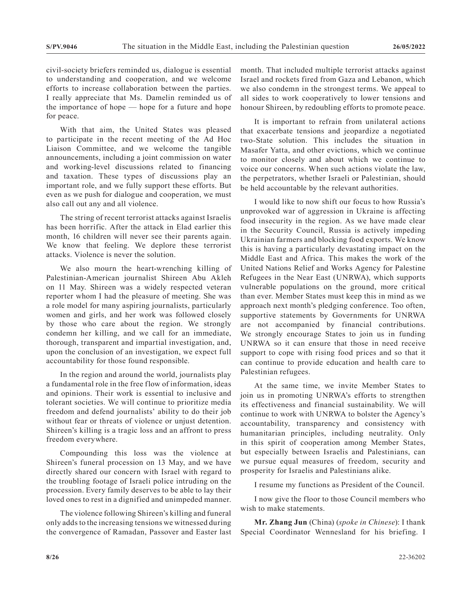civil-society briefers reminded us, dialogue is essential to understanding and cooperation, and we welcome efforts to increase collaboration between the parties. I really appreciate that Ms. Damelin reminded us of the importance of hope — hope for a future and hope for peace.

With that aim, the United States was pleased to participate in the recent meeting of the Ad Hoc Liaison Committee, and we welcome the tangible announcements, including a joint commission on water and working-level discussions related to financing and taxation. These types of discussions play an important role, and we fully support these efforts. But even as we push for dialogue and cooperation, we must also call out any and all violence.

The string of recent terrorist attacks against Israelis has been horrific. After the attack in Elad earlier this month, 16 children will never see their parents again. We know that feeling. We deplore these terrorist attacks. Violence is never the solution.

We also mourn the heart-wrenching killing of Palestinian-American journalist Shireen Abu Akleh on 11 May. Shireen was a widely respected veteran reporter whom I had the pleasure of meeting. She was a role model for many aspiring journalists, particularly women and girls, and her work was followed closely by those who care about the region. We strongly condemn her killing, and we call for an immediate, thorough, transparent and impartial investigation, and, upon the conclusion of an investigation, we expect full accountability for those found responsible.

In the region and around the world, journalists play a fundamental role in the free flow of information, ideas and opinions. Their work is essential to inclusive and tolerant societies. We will continue to prioritize media freedom and defend journalists' ability to do their job without fear or threats of violence or unjust detention. Shireen's killing is a tragic loss and an affront to press freedom everywhere.

Compounding this loss was the violence at Shireen's funeral procession on 13 May, and we have directly shared our concern with Israel with regard to the troubling footage of Israeli police intruding on the procession. Every family deserves to be able to lay their loved ones to rest in a dignified and unimpeded manner.

The violence following Shireen's killing and funeral only adds to the increasing tensions we witnessed during the convergence of Ramadan, Passover and Easter last month. That included multiple terrorist attacks against Israel and rockets fired from Gaza and Lebanon, which we also condemn in the strongest terms. We appeal to all sides to work cooperatively to lower tensions and honour Shireen, by redoubling efforts to promote peace.

It is important to refrain from unilateral actions that exacerbate tensions and jeopardize a negotiated two-State solution. This includes the situation in Masafer Yatta, and other evictions, which we continue to monitor closely and about which we continue to voice our concerns. When such actions violate the law, the perpetrators, whether Israeli or Palestinian, should be held accountable by the relevant authorities.

I would like to now shift our focus to how Russia's unprovoked war of aggression in Ukraine is affecting food insecurity in the region. As we have made clear in the Security Council, Russia is actively impeding Ukrainian farmers and blocking food exports. We know this is having a particularly devastating impact on the Middle East and Africa. This makes the work of the United Nations Relief and Works Agency for Palestine Refugees in the Near East (UNRWA), which supports vulnerable populations on the ground, more critical than ever. Member States must keep this in mind as we approach next month's pledging conference. Too often, supportive statements by Governments for UNRWA are not accompanied by financial contributions. We strongly encourage States to join us in funding UNRWA so it can ensure that those in need receive support to cope with rising food prices and so that it can continue to provide education and health care to Palestinian refugees.

At the same time, we invite Member States to join us in promoting UNRWA's efforts to strengthen its effectiveness and financial sustainability. We will continue to work with UNRWA to bolster the Agency's accountability, transparency and consistency with humanitarian principles, including neutrality. Only in this spirit of cooperation among Member States, but especially between Israelis and Palestinians, can we pursue equal measures of freedom, security and prosperity for Israelis and Palestinians alike.

I resume my functions as President of the Council.

I now give the floor to those Council members who wish to make statements.

**Mr. Zhang Jun** (China) (*spoke in Chinese*): I thank Special Coordinator Wennesland for his briefing. I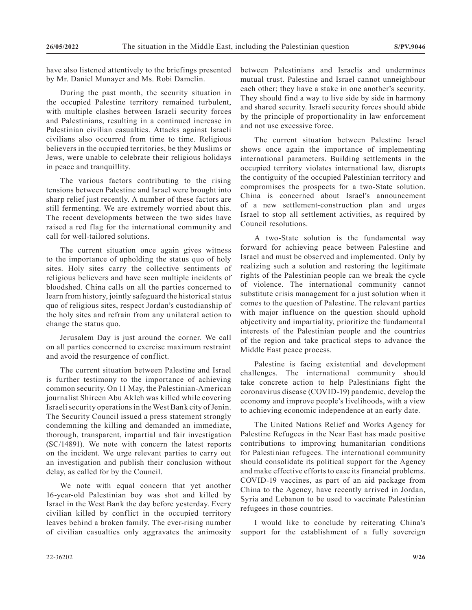have also listened attentively to the briefings presented by Mr. Daniel Munayer and Ms. Robi Damelin.

During the past month, the security situation in the occupied Palestine territory remained turbulent, with multiple clashes between Israeli security forces and Palestinians, resulting in a continued increase in Palestinian civilian casualties. Attacks against Israeli civilians also occurred from time to time. Religious believers in the occupied territories, be they Muslims or Jews, were unable to celebrate their religious holidays in peace and tranquillity.

The various factors contributing to the rising tensions between Palestine and Israel were brought into sharp relief just recently. A number of these factors are still fermenting. We are extremely worried about this. The recent developments between the two sides have raised a red flag for the international community and call for well-tailored solutions.

The current situation once again gives witness to the importance of upholding the status quo of holy sites. Holy sites carry the collective sentiments of religious believers and have seen multiple incidents of bloodshed. China calls on all the parties concerned to learn from history, jointly safeguard the historical status quo of religious sites, respect Jordan's custodianship of the holy sites and refrain from any unilateral action to change the status quo.

Jerusalem Day is just around the corner. We call on all parties concerned to exercise maximum restraint and avoid the resurgence of conflict.

The current situation between Palestine and Israel is further testimony to the importance of achieving common security. On 11 May, the Palestinian-American journalist Shireen Abu Akleh was killed while covering Israeli security operations in the West Bank city of Jenin. The Security Council issued a press statement strongly condemning the killing and demanded an immediate, thorough, transparent, impartial and fair investigation (SC/14891). We note with concern the latest reports on the incident. We urge relevant parties to carry out an investigation and publish their conclusion without delay, as called for by the Council.

We note with equal concern that yet another 16-year-old Palestinian boy was shot and killed by Israel in the West Bank the day before yesterday. Every civilian killed by conflict in the occupied territory leaves behind a broken family. The ever-rising number of civilian casualties only aggravates the animosity

between Palestinians and Israelis and undermines mutual trust. Palestine and Israel cannot unneighbour each other; they have a stake in one another's security. They should find a way to live side by side in harmony and shared security. Israeli security forces should abide by the principle of proportionality in law enforcement and not use excessive force.

The current situation between Palestine Israel shows once again the importance of implementing international parameters. Building settlements in the occupied territory violates international law, disrupts the contiguity of the occupied Palestinian territory and compromises the prospects for a two-State solution. China is concerned about Israel's announcement of a new settlement-construction plan and urges Israel to stop all settlement activities, as required by Council resolutions.

A two-State solution is the fundamental way forward for achieving peace between Palestine and Israel and must be observed and implemented. Only by realizing such a solution and restoring the legitimate rights of the Palestinian people can we break the cycle of violence. The international community cannot substitute crisis management for a just solution when it comes to the question of Palestine. The relevant parties with major influence on the question should uphold objectivity and impartiality, prioritize the fundamental interests of the Palestinian people and the countries of the region and take practical steps to advance the Middle East peace process.

Palestine is facing existential and development challenges. The international community should take concrete action to help Palestinians fight the coronavirus disease (COVID-19) pandemic, develop the economy and improve people's livelihoods, with a view to achieving economic independence at an early date.

The United Nations Relief and Works Agency for Palestine Refugees in the Near East has made positive contributions to improving humanitarian conditions for Palestinian refugees. The international community should consolidate its political support for the Agency and make effective efforts to ease its financial problems. COVID-19 vaccines, as part of an aid package from China to the Agency, have recently arrived in Jordan, Syria and Lebanon to be used to vaccinate Palestinian refugees in those countries.

I would like to conclude by reiterating China's support for the establishment of a fully sovereign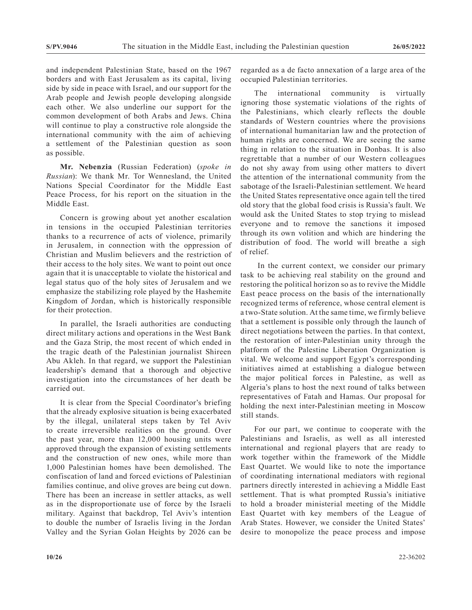and independent Palestinian State, based on the 1967 borders and with East Jerusalem as its capital, living side by side in peace with Israel, and our support for the Arab people and Jewish people developing alongside each other. We also underline our support for the common development of both Arabs and Jews. China will continue to play a constructive role alongside the international community with the aim of achieving a settlement of the Palestinian question as soon as possible.

**Mr. Nebenzia** (Russian Federation) (*spoke in Russian*): We thank Mr. Tor Wennesland, the United Nations Special Coordinator for the Middle East Peace Process, for his report on the situation in the Middle East.

Concern is growing about yet another escalation in tensions in the occupied Palestinian territories thanks to a recurrence of acts of violence, primarily in Jerusalem, in connection with the oppression of Christian and Muslim believers and the restriction of their access to the holy sites. We want to point out once again that it is unacceptable to violate the historical and legal status quo of the holy sites of Jerusalem and we emphasize the stabilizing role played by the Hashemite Kingdom of Jordan, which is historically responsible for their protection.

In parallel, the Israeli authorities are conducting direct military actions and operations in the West Bank and the Gaza Strip, the most recent of which ended in the tragic death of the Palestinian journalist Shireen Abu Akleh. In that regard, we support the Palestinian leadership's demand that a thorough and objective investigation into the circumstances of her death be carried out.

It is clear from the Special Coordinator's briefing that the already explosive situation is being exacerbated by the illegal, unilateral steps taken by Tel Aviv to create irreversible realities on the ground. Over the past year, more than 12,000 housing units were approved through the expansion of existing settlements and the construction of new ones, while more than 1,000 Palestinian homes have been demolished. The confiscation of land and forced evictions of Palestinian families continue, and olive groves are being cut down. There has been an increase in settler attacks, as well as in the disproportionate use of force by the Israeli military. Against that backdrop, Tel Aviv's intention to double the number of Israelis living in the Jordan Valley and the Syrian Golan Heights by 2026 can be

regarded as a de facto annexation of a large area of the occupied Palestinian territories.

The international community is virtually ignoring those systematic violations of the rights of the Palestinians, which clearly reflects the double standards of Western countries where the provisions of international humanitarian law and the protection of human rights are concerned. We are seeing the same thing in relation to the situation in Donbas. It is also regrettable that a number of our Western colleagues do not shy away from using other matters to divert the attention of the international community from the sabotage of the Israeli-Palestinian settlement. We heard the United States representative once again tell the tired old story that the global food crisis is Russia's fault. We would ask the United States to stop trying to mislead everyone and to remove the sanctions it imposed through its own volition and which are hindering the distribution of food. The world will breathe a sigh of relief.

 In the current context, we consider our primary task to be achieving real stability on the ground and restoring the political horizon so as to revive the Middle East peace process on the basis of the internationally recognized terms of reference, whose central element is a two-State solution. At the same time, we firmly believe that a settlement is possible only through the launch of direct negotiations between the parties. In that context, the restoration of inter-Palestinian unity through the platform of the Palestine Liberation Organization is vital. We welcome and support Egypt's corresponding initiatives aimed at establishing a dialogue between the major political forces in Palestine, as well as Algeria's plans to host the next round of talks between representatives of Fatah and Hamas. Our proposal for holding the next inter-Palestinian meeting in Moscow still stands.

For our part, we continue to cooperate with the Palestinians and Israelis, as well as all interested international and regional players that are ready to work together within the framework of the Middle East Quartet. We would like to note the importance of coordinating international mediators with regional partners directly interested in achieving a Middle East settlement. That is what prompted Russia's initiative to hold a broader ministerial meeting of the Middle East Quartet with key members of the League of Arab States. However, we consider the United States' desire to monopolize the peace process and impose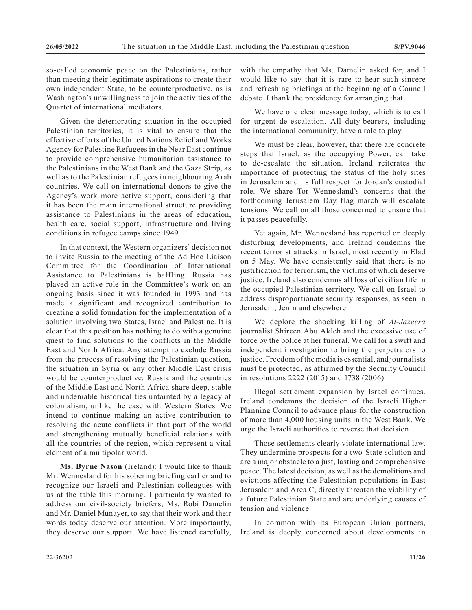so-called economic peace on the Palestinians, rather than meeting their legitimate aspirations to create their own independent State, to be counterproductive, as is Washington's unwillingness to join the activities of the Quartet of international mediators.

Given the deteriorating situation in the occupied Palestinian territories, it is vital to ensure that the effective efforts of the United Nations Relief and Works Agency for Palestine Refugees in the Near East continue to provide comprehensive humanitarian assistance to the Palestinians in the West Bank and the Gaza Strip, as well as to the Palestinian refugees in neighbouring Arab countries. We call on international donors to give the Agency's work more active support, considering that it has been the main international structure providing assistance to Palestinians in the areas of education, health care, social support, infrastructure and living conditions in refugee camps since 1949.

In that context, the Western organizers' decision not to invite Russia to the meeting of the Ad Hoc Liaison Committee for the Coordination of International Assistance to Palestinians is baffling. Russia has played an active role in the Committee's work on an ongoing basis since it was founded in 1993 and has made a significant and recognized contribution to creating a solid foundation for the implementation of a solution involving two States, Israel and Palestine. It is clear that this position has nothing to do with a genuine quest to find solutions to the conflicts in the Middle East and North Africa. Any attempt to exclude Russia from the process of resolving the Palestinian question, the situation in Syria or any other Middle East crisis would be counterproductive. Russia and the countries of the Middle East and North Africa share deep, stable and undeniable historical ties untainted by a legacy of colonialism, unlike the case with Western States. We intend to continue making an active contribution to resolving the acute conflicts in that part of the world and strengthening mutually beneficial relations with all the countries of the region, which represent a vital element of a multipolar world.

**Ms. Byrne Nason** (Ireland): I would like to thank Mr. Wennesland for his sobering briefing earlier and to recognize our Israeli and Palestinian colleagues with us at the table this morning. I particularly wanted to address our civil-society briefers, Ms. Robi Damelin and Mr. Daniel Munayer, to say that their work and their words today deserve our attention. More importantly, they deserve our support. We have listened carefully, with the empathy that Ms. Damelin asked for, and I would like to say that it is rare to hear such sincere and refreshing briefings at the beginning of a Council debate. I thank the presidency for arranging that.

We have one clear message today, which is to call for urgent de-escalation. All duty-bearers, including the international community, have a role to play.

We must be clear, however, that there are concrete steps that Israel, as the occupying Power, can take to de-escalate the situation. Ireland reiterates the importance of protecting the status of the holy sites in Jerusalem and its full respect for Jordan's custodial role. We share Tor Wennesland's concerns that the forthcoming Jerusalem Day flag march will escalate tensions. We call on all those concerned to ensure that it passes peacefully.

Yet again, Mr. Wennesland has reported on deeply disturbing developments, and Ireland condemns the recent terrorist attacks in Israel, most recently in Elad on 5 May. We have consistently said that there is no justification for terrorism, the victims of which deserve justice. Ireland also condemns all loss of civilian life in the occupied Palestinian territory. We call on Israel to address disproportionate security responses, as seen in Jerusalem, Jenin and elsewhere.

We deplore the shocking killing of *Al-Jazeera* journalist Shireen Abu Akleh and the excessive use of force by the police at her funeral. We call for a swift and independent investigation to bring the perpetrators to justice. Freedom of the media is essential, and journalists must be protected, as affirmed by the Security Council in resolutions 2222 (2015) and 1738 (2006).

Illegal settlement expansion by Israel continues. Ireland condemns the decision of the Israeli Higher Planning Council to advance plans for the construction of more than 4,000 housing units in the West Bank. We urge the Israeli authorities to reverse that decision.

Those settlements clearly violate international law. They undermine prospects for a two-State solution and are a major obstacle to a just, lasting and comprehensive peace. The latest decision, as well as the demolitions and evictions affecting the Palestinian populations in East Jerusalem and Area C, directly threaten the viability of a future Palestinian State and are underlying causes of tension and violence.

In common with its European Union partners, Ireland is deeply concerned about developments in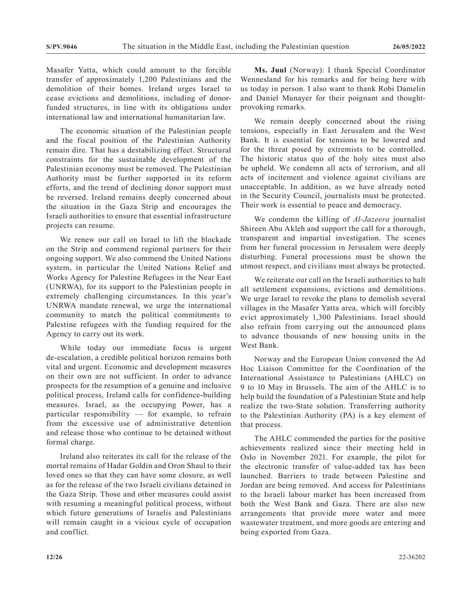Masafer Yatta, which could amount to the forcible transfer of approximately 1,200 Palestinians and the demolition of their homes. Ireland urges Israel to cease evictions and demolitions, including of donorfunded structures, in line with its obligations under international law and international humanitarian law.

The economic situation of the Palestinian people and the fiscal position of the Palestinian Authority remain dire. That has a destabilizing effect. Structural constraints for the sustainable development of the Palestinian economy must be removed. The Palestinian Authority must be further supported in its reform efforts, and the trend of declining donor support must be reversed. Ireland remains deeply concerned about the situation in the Gaza Strip and encourages the Israeli authorities to ensure that essential infrastructure projects can resume.

We renew our call on Israel to lift the blockade on the Strip and commend regional partners for their ongoing support. We also commend the United Nations system, in particular the United Nations Relief and Works Agency for Palestine Refugees in the Near East (UNRWA), for its support to the Palestinian people in extremely challenging circumstances. In this year's UNRWA mandate renewal, we urge the international community to match the political commitments to Palestine refugees with the funding required for the Agency to carry out its work.

While today our immediate focus is urgent de-escalation, a credible political horizon remains both vital and urgent. Economic and development measures on their own are not sufficient. In order to advance prospects for the resumption of a genuine and inclusive political process, Ireland calls for confidence-building measures. Israel, as the occupying Power, has a particular responsibility — for example, to refrain from the excessive use of administrative detention and release those who continue to be detained without formal charge.

Ireland also reiterates its call for the release of the mortal remains of Hadar Goldin and Oron Shaul to their loved ones so that they can have some closure, as well as for the release of the two Israeli civilians detained in the Gaza Strip. Those and other measures could assist with resuming a meaningful political process, without which future generations of Israelis and Palestinians will remain caught in a vicious cycle of occupation and conflict.

**Ms. Juul** (Norway): I thank Special Coordinator Wennesland for his remarks and for being here with us today in person. I also want to thank Robi Damelin and Daniel Munayer for their poignant and thoughtprovoking remarks.

We remain deeply concerned about the rising tensions, especially in East Jerusalem and the West Bank. It is essential for tensions to be lowered and for the threat posed by extremists to be controlled. The historic status quo of the holy sites must also be upheld. We condemn all acts of terrorism, and all acts of incitement and violence against civilians are unacceptable. In addition, as we have already noted in the Security Council, journalists must be protected. Their work is essential to peace and democracy.

We condemn the killing of *Al-Jazeera* journalist Shireen Abu Akleh and support the call for a thorough, transparent and impartial investigation. The scenes from her funeral procession in Jerusalem were deeply disturbing. Funeral processions must be shown the utmost respect, and civilians must always be protected.

We reiterate our call on the Israeli authorities to halt all settlement expansions, evictions and demolitions. We urge Israel to revoke the plans to demolish several villages in the Masafer Yatta area, which will forcibly evict approximately 1,300 Palestinians. Israel should also refrain from carrying out the announced plans to advance thousands of new housing units in the West Bank.

Norway and the European Union convened the Ad Hoc Liaison Committee for the Coordination of the International Assistance to Palestinians (AHLC) on 9 to 10 May in Brussels. The aim of the AHLC is to help build the foundation of a Palestinian State and help realize the two-State solution. Transferring authority to the Palestinian Authority (PA) is a key element of that process.

The AHLC commended the parties for the positive achievements realized since their meeting held in Oslo in November 2021. For example, the pilot for the electronic transfer of value-added tax has been launched. Barriers to trade between Palestine and Jordan are being removed. And access for Palestinians to the Israeli labour market has been increased from both the West Bank and Gaza. There are also new arrangements that provide more water and more wastewater treatment, and more goods are entering and being exported from Gaza.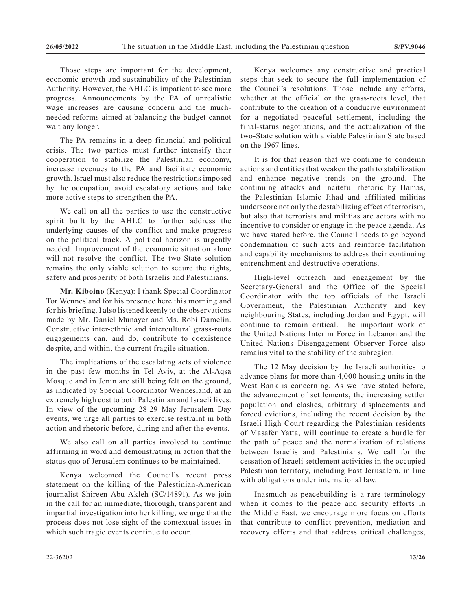Those steps are important for the development, economic growth and sustainability of the Palestinian Authority. However, the AHLC is impatient to see more progress. Announcements by the PA of unrealistic wage increases are causing concern and the muchneeded reforms aimed at balancing the budget cannot wait any longer.

The PA remains in a deep financial and political crisis. The two parties must further intensify their cooperation to stabilize the Palestinian economy, increase revenues to the PA and facilitate economic growth. Israel must also reduce the restrictions imposed by the occupation, avoid escalatory actions and take more active steps to strengthen the PA.

We call on all the parties to use the constructive spirit built by the AHLC to further address the underlying causes of the conflict and make progress on the political track. A political horizon is urgently needed. Improvement of the economic situation alone will not resolve the conflict. The two-State solution remains the only viable solution to secure the rights, safety and prosperity of both Israelis and Palestinians.

**Mr. Kiboino** (Kenya): I thank Special Coordinator Tor Wennesland for his presence here this morning and for his briefing. I also listened keenly to the observations made by Mr. Daniel Munayer and Ms. Robi Damelin. Constructive inter-ethnic and intercultural grass-roots engagements can, and do, contribute to coexistence despite, and within, the current fragile situation.

The implications of the escalating acts of violence in the past few months in Tel Aviv, at the Al-Aqsa Mosque and in Jenin are still being felt on the ground, as indicated by Special Coordinator Wennesland, at an extremely high cost to both Palestinian and Israeli lives. In view of the upcoming 28-29 May Jerusalem Day events, we urge all parties to exercise restraint in both action and rhetoric before, during and after the events.

We also call on all parties involved to continue affirming in word and demonstrating in action that the status quo of Jerusalem continues to be maintained.

Kenya welcomed the Council's recent press statement on the killing of the Palestinian-American journalist Shireen Abu Akleh (SC/14891). As we join in the call for an immediate, thorough, transparent and impartial investigation into her killing, we urge that the process does not lose sight of the contextual issues in which such tragic events continue to occur.

Kenya welcomes any constructive and practical steps that seek to secure the full implementation of the Council's resolutions. Those include any efforts, whether at the official or the grass-roots level, that contribute to the creation of a conducive environment for a negotiated peaceful settlement, including the final-status negotiations, and the actualization of the two-State solution with a viable Palestinian State based on the 1967 lines.

It is for that reason that we continue to condemn actions and entities that weaken the path to stabilization and enhance negative trends on the ground. The continuing attacks and inciteful rhetoric by Hamas, the Palestinian Islamic Jihad and affiliated militias underscore not only the destabilizing effect of terrorism, but also that terrorists and militias are actors with no incentive to consider or engage in the peace agenda. As we have stated before, the Council needs to go beyond condemnation of such acts and reinforce facilitation and capability mechanisms to address their continuing entrenchment and destructive operations.

High-level outreach and engagement by the Secretary-General and the Office of the Special Coordinator with the top officials of the Israeli Government, the Palestinian Authority and key neighbouring States, including Jordan and Egypt, will continue to remain critical. The important work of the United Nations Interim Force in Lebanon and the United Nations Disengagement Observer Force also remains vital to the stability of the subregion.

The 12 May decision by the Israeli authorities to advance plans for more than 4,000 housing units in the West Bank is concerning. As we have stated before, the advancement of settlements, the increasing settler population and clashes, arbitrary displacements and forced evictions, including the recent decision by the Israeli High Court regarding the Palestinian residents of Masafer Yatta, will continue to create a hurdle for the path of peace and the normalization of relations between Israelis and Palestinians. We call for the cessation of Israeli settlement activities in the occupied Palestinian territory, including East Jerusalem, in line with obligations under international law.

Inasmuch as peacebuilding is a rare terminology when it comes to the peace and security efforts in the Middle East, we encourage more focus on efforts that contribute to conflict prevention, mediation and recovery efforts and that address critical challenges,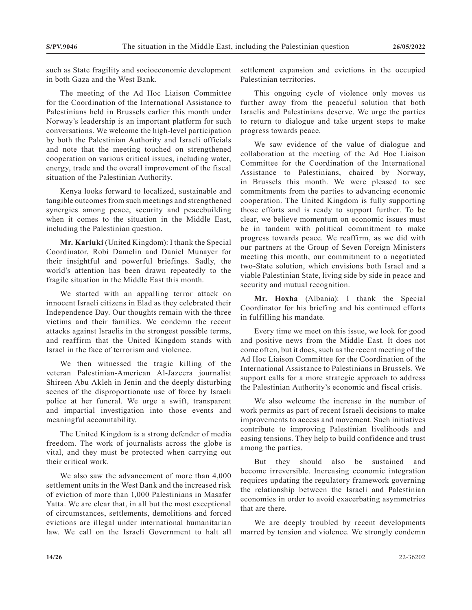such as State fragility and socioeconomic development in both Gaza and the West Bank.

The meeting of the Ad Hoc Liaison Committee for the Coordination of the International Assistance to Palestinians held in Brussels earlier this month under Norway's leadership is an important platform for such conversations. We welcome the high-level participation by both the Palestinian Authority and Israeli officials and note that the meeting touched on strengthened cooperation on various critical issues, including water, energy, trade and the overall improvement of the fiscal situation of the Palestinian Authority.

Kenya looks forward to localized, sustainable and tangible outcomes from such meetings and strengthened synergies among peace, security and peacebuilding when it comes to the situation in the Middle East, including the Palestinian question.

**Mr. Kariuki** (United Kingdom): I thank the Special Coordinator, Robi Damelin and Daniel Munayer for their insightful and powerful briefings. Sadly, the world's attention has been drawn repeatedly to the fragile situation in the Middle East this month.

We started with an appalling terror attack on innocent Israeli citizens in Elad as they celebrated their Independence Day. Our thoughts remain with the three victims and their families. We condemn the recent attacks against Israelis in the strongest possible terms, and reaffirm that the United Kingdom stands with Israel in the face of terrorism and violence.

We then witnessed the tragic killing of the veteran Palestinian-American Al-Jazeera journalist Shireen Abu Akleh in Jenin and the deeply disturbing scenes of the disproportionate use of force by Israeli police at her funeral. We urge a swift, transparent and impartial investigation into those events and meaningful accountability.

The United Kingdom is a strong defender of media freedom. The work of journalists across the globe is vital, and they must be protected when carrying out their critical work.

We also saw the advancement of more than 4,000 settlement units in the West Bank and the increased risk of eviction of more than 1,000 Palestinians in Masafer Yatta. We are clear that, in all but the most exceptional of circumstances, settlements, demolitions and forced evictions are illegal under international humanitarian law. We call on the Israeli Government to halt all

settlement expansion and evictions in the occupied Palestinian territories.

This ongoing cycle of violence only moves us further away from the peaceful solution that both Israelis and Palestinians deserve. We urge the parties to return to dialogue and take urgent steps to make progress towards peace.

We saw evidence of the value of dialogue and collaboration at the meeting of the Ad Hoc Liaison Committee for the Coordination of the International Assistance to Palestinians, chaired by Norway, in Brussels this month. We were pleased to see commitments from the parties to advancing economic cooperation. The United Kingdom is fully supporting those efforts and is ready to support further. To be clear, we believe momentum on economic issues must be in tandem with political commitment to make progress towards peace. We reaffirm, as we did with our partners at the Group of Seven Foreign Ministers meeting this month, our commitment to a negotiated two-State solution, which envisions both Israel and a viable Palestinian State, living side by side in peace and security and mutual recognition.

**Mr. Hoxha** (Albania): I thank the Special Coordinator for his briefing and his continued efforts in fulfilling his mandate.

Every time we meet on this issue, we look for good and positive news from the Middle East. It does not come often, but it does, such as the recent meeting of the Ad Hoc Liaison Committee for the Coordination of the International Assistance to Palestinians in Brussels. We support calls for a more strategic approach to address the Palestinian Authority's economic and fiscal crisis.

We also welcome the increase in the number of work permits as part of recent Israeli decisions to make improvements to access and movement. Such initiatives contribute to improving Palestinian livelihoods and easing tensions. They help to build confidence and trust among the parties.

But they should also be sustained and become irreversible. Increasing economic integration requires updating the regulatory framework governing the relationship between the Israeli and Palestinian economies in order to avoid exacerbating asymmetries that are there.

We are deeply troubled by recent developments marred by tension and violence. We strongly condemn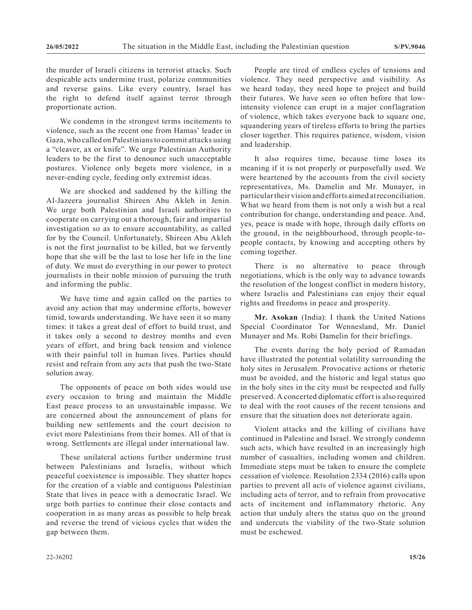the murder of Israeli citizens in terrorist attacks. Such despicable acts undermine trust, polarize communities and reverse gains. Like every country, Israel has the right to defend itself against terror through proportionate action.

We condemn in the strongest terms incitements to violence, such as the recent one from Hamas' leader in Gaza, who called on Palestinians to commit attacks using a "cleaver, ax or knife". We urge Palestinian Authority leaders to be the first to denounce such unacceptable postures. Violence only begets more violence, in a never-ending cycle, feeding only extremist ideas.

We are shocked and saddened by the killing the Al-Jazeera journalist Shireen Abu Akleh in Jenin. We urge both Palestinian and Israeli authorities to cooperate on carrying out a thorough, fair and impartial investigation so as to ensure accountability, as called for by the Council. Unfortunately, Shireen Abu Akleh is not the first journalist to be killed, but we fervently hope that she will be the last to lose her life in the line of duty. We must do everything in our power to protect journalists in their noble mission of pursuing the truth and informing the public.

We have time and again called on the parties to avoid any action that may undermine efforts, however timid, towards understanding. We have seen it so many times: it takes a great deal of effort to build trust, and it takes only a second to destroy months and even years of effort, and bring back tension and violence with their painful toll in human lives. Parties should resist and refrain from any acts that push the two-State solution away.

The opponents of peace on both sides would use every occasion to bring and maintain the Middle East peace process to an unsustainable impasse. We are concerned about the announcement of plans for building new settlements and the court decision to evict more Palestinians from their homes. All of that is wrong. Settlements are illegal under international law.

These unilateral actions further undermine trust between Palestinians and Israelis, without which peaceful coexistence is impossible. They shatter hopes for the creation of a viable and contiguous Palestinian State that lives in peace with a democratic Israel. We urge both parties to continue their close contacts and cooperation in as many areas as possible to help break and reverse the trend of vicious cycles that widen the gap between them.

People are tired of endless cycles of tensions and violence. They need perspective and visibility. As we heard today, they need hope to project and build their futures. We have seen so often before that lowintensity violence can erupt in a major conflagration of violence, which takes everyone back to square one, squandering years of tireless efforts to bring the parties closer together. This requires patience, wisdom, vision and leadership.

It also requires time, because time loses its meaning if it is not properly or purposefully used. We were heartened by the accounts from the civil society representatives, Ms. Damelin and Mr. Munayer, in particular their vision and efforts aimed at reconciliation. What we heard from them is not only a wish but a real contribution for change, understanding and peace. And, yes, peace is made with hope, through daily efforts on the ground, in the neighbourhood, through people-topeople contacts, by knowing and accepting others by coming together.

There is no alternative to peace through negotiations, which is the only way to advance towards the resolution of the longest conflict in modern history, where Israelis and Palestinians can enjoy their equal rights and freedoms in peace and prosperity.

**Mr. Asokan** (India): I thank the United Nations Special Coordinator Tor Wennesland, Mr. Daniel Munayer and Ms. Robi Damelin for their briefings.

The events during the holy period of Ramadan have illustrated the potential volatility surrounding the holy sites in Jerusalem. Provocative actions or rhetoric must be avoided, and the historic and legal status quo in the holy sites in the city must be respected and fully preserved. A concerted diplomatic effort is also required to deal with the root causes of the recent tensions and ensure that the situation does not deteriorate again.

Violent attacks and the killing of civilians have continued in Palestine and Israel. We strongly condemn such acts, which have resulted in an increasingly high number of casualties, including women and children. Immediate steps must be taken to ensure the complete cessation of violence. Resolution 2334 (2016) calls upon parties to prevent all acts of violence against civilians, including acts of terror, and to refrain from provocative acts of incitement and inflammatory rhetoric. Any action that unduly alters the status quo on the ground and undercuts the viability of the two-State solution must be eschewed.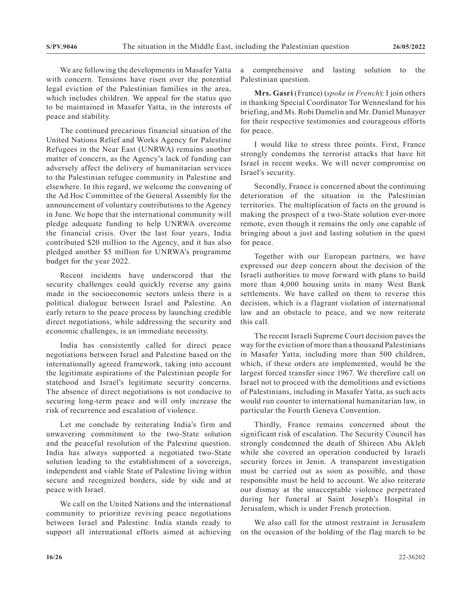We are following the developments in Masafer Yatta with concern. Tensions have risen over the potential legal eviction of the Palestinian families in the area, which includes children. We appeal for the status quo to be maintained in Masafer Yatta, in the interests of peace and stability.

The continued precarious financial situation of the United Nations Relief and Works Agency for Palestine Refugees in the Near East (UNRWA) remains another matter of concern, as the Agency's lack of funding can adversely affect the delivery of humanitarian services to the Palestinian refugee community in Palestine and elsewhere. In this regard, we welcome the convening of the Ad Hoc Committee of the General Assembly for the announcement of voluntary contributions to the Agency in June. We hope that the international community will pledge adequate funding to help UNRWA overcome the financial crisis. Over the last four years, India contributed \$20 million to the Agency, and it has also pledged another \$5 million for UNRWA's programme budget for the year 2022.

Recent incidents have underscored that the security challenges could quickly reverse any gains made in the socioeconomic sectors unless there is a political dialogue between Israel and Palestine. An early return to the peace process by launching credible direct negotiations, while addressing the security and economic challenges, is an immediate necessity.

India has consistently called for direct peace negotiations between Israel and Palestine based on the internationally agreed framework, taking into account the legitimate aspirations of the Palestinian people for statehood and Israel's legitimate security concerns. The absence of direct negotiations is not conducive to securing long-term peace and will only increase the risk of recurrence and escalation of violence.

Let me conclude by reiterating India's firm and unwavering commitment to the two-State solution and the peaceful resolution of the Palestine question. India has always supported a negotiated two-State solution leading to the establishment of a sovereign, independent and viable State of Palestine living within secure and recognized borders, side by side and at peace with Israel.

We call on the United Nations and the international community to prioritize reviving peace negotiations between Israel and Palestine. India stands ready to support all international efforts aimed at achieving a comprehensive and lasting solution to the Palestinian question.

**Mrs. Gasri** (France) (*spoke in French*): I join others in thanking Special Coordinator Tor Wennesland for his briefing, and Ms. Robi Damelin and Mr. Daniel Munayer for their respective testimonies and courageous efforts for peace.

I would like to stress three points. First, France strongly condemns the terrorist attacks that have hit Israel in recent weeks. We will never compromise on Israel's security.

Secondly, France is concerned about the continuing deterioration of the situation in the Palestinian territories. The multiplication of facts on the ground is making the prospect of a two-State solution ever-more remote, even though it remains the only one capable of bringing about a just and lasting solution in the quest for peace.

Together with our European partners, we have expressed our deep concern about the decision of the Israeli authorities to move forward with plans to build more than 4,000 housing units in many West Bank settlements. We have called on them to reverse this decision, which is a flagrant violation of international law and an obstacle to peace, and we now reiterate this call.

The recent Israeli Supreme Court decision paves the way for the eviction of more than a thousand Palestinians in Masafer Yatta, including more than 500 children, which, if these orders are implemented, would be the largest forced transfer since 1967. We therefore call on Israel not to proceed with the demolitions and evictions of Palestinians, including in Masafer Yatta, as such acts would run counter to international humanitarian law, in particular the Fourth Geneva Convention.

Thirdly, France remains concerned about the significant risk of escalation. The Security Council has strongly condemned the death of Shireen Abu Akleh while she covered an operation conducted by Israeli security forces in Jenin. A transparent investigation must be carried out as soon as possible, and those responsible must be held to account. We also reiterate our dismay at the unacceptable violence perpetrated during her funeral at Saint Joseph's Hospital in Jerusalem, which is under French protection.

We also call for the utmost restraint in Jerusalem on the occasion of the holding of the flag march to be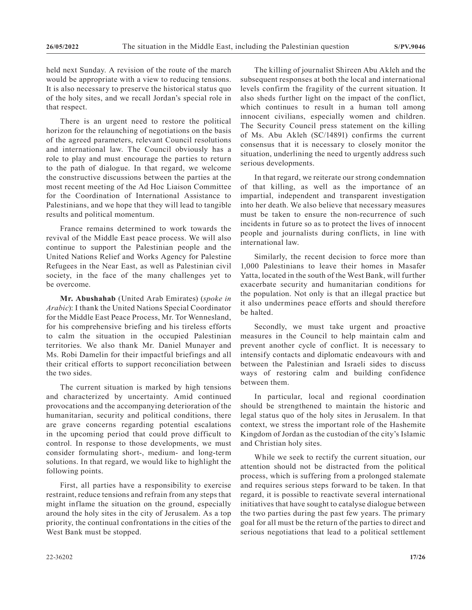held next Sunday. A revision of the route of the march would be appropriate with a view to reducing tensions. It is also necessary to preserve the historical status quo of the holy sites, and we recall Jordan's special role in that respect.

There is an urgent need to restore the political horizon for the relaunching of negotiations on the basis of the agreed parameters, relevant Council resolutions and international law. The Council obviously has a role to play and must encourage the parties to return to the path of dialogue. In that regard, we welcome the constructive discussions between the parties at the most recent meeting of the Ad Hoc Liaison Committee for the Coordination of International Assistance to Palestinians, and we hope that they will lead to tangible results and political momentum.

France remains determined to work towards the revival of the Middle East peace process. We will also continue to support the Palestinian people and the United Nations Relief and Works Agency for Palestine Refugees in the Near East, as well as Palestinian civil society, in the face of the many challenges yet to be overcome.

**Mr. Abushahab** (United Arab Emirates) (*spoke in Arabic*): I thank the United Nations Special Coordinator for the Middle East Peace Process, Mr. Tor Wennesland, for his comprehensive briefing and his tireless efforts to calm the situation in the occupied Palestinian territories. We also thank Mr. Daniel Munayer and Ms. Robi Damelin for their impactful briefings and all their critical efforts to support reconciliation between the two sides.

The current situation is marked by high tensions and characterized by uncertainty. Amid continued provocations and the accompanying deterioration of the humanitarian, security and political conditions, there are grave concerns regarding potential escalations in the upcoming period that could prove difficult to control. In response to those developments, we must consider formulating short-, medium- and long-term solutions. In that regard, we would like to highlight the following points.

First, all parties have a responsibility to exercise restraint, reduce tensions and refrain from any steps that might inflame the situation on the ground, especially around the holy sites in the city of Jerusalem. As a top priority, the continual confrontations in the cities of the West Bank must be stopped.

The killing of journalist Shireen Abu Akleh and the subsequent responses at both the local and international levels confirm the fragility of the current situation. It also sheds further light on the impact of the conflict, which continues to result in a human toll among innocent civilians, especially women and children. The Security Council press statement on the killing of Ms. Abu Akleh (SC/14891) confirms the current consensus that it is necessary to closely monitor the situation, underlining the need to urgently address such serious developments.

In that regard, we reiterate our strong condemnation of that killing, as well as the importance of an impartial, independent and transparent investigation into her death. We also believe that necessary measures must be taken to ensure the non-recurrence of such incidents in future so as to protect the lives of innocent people and journalists during conflicts, in line with international law.

Similarly, the recent decision to force more than 1,000 Palestinians to leave their homes in Masafer Yatta, located in the south of the West Bank, will further exacerbate security and humanitarian conditions for the population. Not only is that an illegal practice but it also undermines peace efforts and should therefore be halted.

Secondly, we must take urgent and proactive measures in the Council to help maintain calm and prevent another cycle of conflict. It is necessary to intensify contacts and diplomatic endeavours with and between the Palestinian and Israeli sides to discuss ways of restoring calm and building confidence between them.

In particular, local and regional coordination should be strengthened to maintain the historic and legal status quo of the holy sites in Jerusalem. In that context, we stress the important role of the Hashemite Kingdom of Jordan as the custodian of the city's Islamic and Christian holy sites.

While we seek to rectify the current situation, our attention should not be distracted from the political process, which is suffering from a prolonged stalemate and requires serious steps forward to be taken. In that regard, it is possible to reactivate several international initiatives that have sought to catalyse dialogue between the two parties during the past few years. The primary goal for all must be the return of the parties to direct and serious negotiations that lead to a political settlement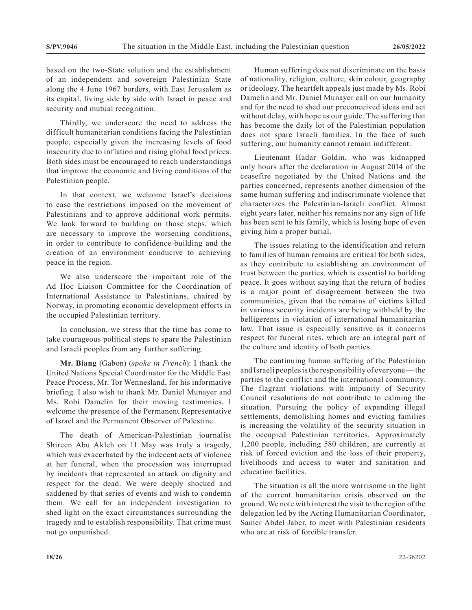based on the two-State solution and the establishment of an independent and sovereign Palestinian State along the 4 June 1967 borders, with East Jerusalem as its capital, living side by side with Israel in peace and security and mutual recognition.

Thirdly, we underscore the need to address the difficult humanitarian conditions facing the Palestinian people, especially given the increasing levels of food insecurity due to inflation and rising global food prices. Both sides must be encouraged to reach understandings that improve the economic and living conditions of the Palestinian people.

In that context, we welcome Israel's decisions to ease the restrictions imposed on the movement of Palestinians and to approve additional work permits. We look forward to building on those steps, which are necessary to improve the worsening conditions, in order to contribute to confidence-building and the creation of an environment conducive to achieving peace in the region.

We also underscore the important role of the Ad Hoc Liaison Committee for the Coordination of International Assistance to Palestinians, chaired by Norway, in promoting economic development efforts in the occupied Palestinian territory.

In conclusion, we stress that the time has come to take courageous political steps to spare the Palestinian and Israeli peoples from any further suffering.

**Mr. Biang** (Gabon) (*spoke in French*): I thank the United Nations Special Coordinator for the Middle East Peace Process, Mr. Tor Wennesland, for his informative briefing. I also wish to thank Mr. Daniel Munayer and Ms. Robi Damelin for their moving testimonies. I welcome the presence of the Permanent Representative of Israel and the Permanent Observer of Palestine.

The death of American-Palestinian journalist Shireen Abu Akleh on 11 May was truly a tragedy, which was exacerbated by the indecent acts of violence at her funeral, when the procession was interrupted by incidents that represented an attack on dignity and respect for the dead. We were deeply shocked and saddened by that series of events and wish to condemn them. We call for an independent investigation to shed light on the exact circumstances surrounding the tragedy and to establish responsibility. That crime must not go unpunished.

Human suffering does not discriminate on the basis of nationality, religion, culture, skin colour, geography or ideology. The heartfelt appeals just made by Ms. Robi Damelin and Mr. Daniel Munayer call on our humanity and for the need to shed our preconceived ideas and act without delay, with hope as our guide. The suffering that has become the daily lot of the Palestinian population does not spare Israeli families. In the face of such suffering, our humanity cannot remain indifferent.

Lieutenant Hadar Goldin, who was kidnapped only hours after the declaration in August 2014 of the ceasefire negotiated by the United Nations and the parties concerned, represents another dimension of the same human suffering and indiscriminate violence that characterizes the Palestinian-Israeli conflict. Almost eight years later, neither his remains nor any sign of life has been sent to his family, which is losing hope of even giving him a proper burial.

The issues relating to the identification and return to families of human remains are critical for both sides, as they contribute to establishing an environment of trust between the parties, which is essential to building peace. It goes without saying that the return of bodies is a major point of disagreement between the two communities, given that the remains of victims killed in various security incidents are being withheld by the belligerents in violation of international humanitarian law. That issue is especially sensitive as it concerns respect for funeral rites, which are an integral part of the culture and identity of both parties.

The continuing human suffering of the Palestinian and Israeli peoples is the responsibility of everyone— the parties to the conflict and the international community. The flagrant violations with impunity of Security Council resolutions do not contribute to calming the situation. Pursuing the policy of expanding illegal settlements, demolishing homes and evicting families is increasing the volatility of the security situation in the occupied Palestinian territories. Approximately 1,200 people, including 580 children, are currently at risk of forced eviction and the loss of their property, livelihoods and access to water and sanitation and education facilities.

The situation is all the more worrisome in the light of the current humanitarian crisis observed on the ground. We note with interest the visit to the region of the delegation led by the Acting Humanitarian Coordinator, Samer Abdel Jaber, to meet with Palestinian residents who are at risk of forcible transfer.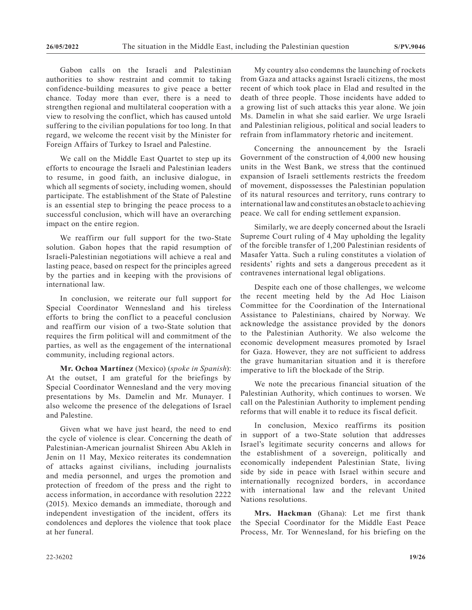Gabon calls on the Israeli and Palestinian authorities to show restraint and commit to taking confidence-building measures to give peace a better chance. Today more than ever, there is a need to strengthen regional and multilateral cooperation with a view to resolving the conflict, which has caused untold suffering to the civilian populations for too long. In that regard, we welcome the recent visit by the Minister for Foreign Affairs of Turkey to Israel and Palestine.

We call on the Middle East Quartet to step up its efforts to encourage the Israeli and Palestinian leaders to resume, in good faith, an inclusive dialogue, in which all segments of society, including women, should participate. The establishment of the State of Palestine is an essential step to bringing the peace process to a successful conclusion, which will have an overarching impact on the entire region.

We reaffirm our full support for the two-State solution. Gabon hopes that the rapid resumption of Israeli-Palestinian negotiations will achieve a real and lasting peace, based on respect for the principles agreed by the parties and in keeping with the provisions of international law.

In conclusion, we reiterate our full support for Special Coordinator Wennesland and his tireless efforts to bring the conflict to a peaceful conclusion and reaffirm our vision of a two-State solution that requires the firm political will and commitment of the parties, as well as the engagement of the international community, including regional actors.

**Mr. Ochoa Martínez** (Mexico) (*spoke in Spanish*): At the outset, I am grateful for the briefings by Special Coordinator Wennesland and the very moving presentations by Ms. Damelin and Mr. Munayer. I also welcome the presence of the delegations of Israel and Palestine.

Given what we have just heard, the need to end the cycle of violence is clear. Concerning the death of Palestinian-American journalist Shireen Abu Akleh in Jenin on 11 May, Mexico reiterates its condemnation of attacks against civilians, including journalists and media personnel, and urges the promotion and protection of freedom of the press and the right to access information, in accordance with resolution 2222 (2015). Mexico demands an immediate, thorough and independent investigation of the incident, offers its condolences and deplores the violence that took place at her funeral.

My country also condemns the launching of rockets from Gaza and attacks against Israeli citizens, the most recent of which took place in Elad and resulted in the death of three people. Those incidents have added to a growing list of such attacks this year alone. We join Ms. Damelin in what she said earlier. We urge Israeli and Palestinian religious, political and social leaders to refrain from inflammatory rhetoric and incitement.

Concerning the announcement by the Israeli Government of the construction of 4,000 new housing units in the West Bank, we stress that the continued expansion of Israeli settlements restricts the freedom of movement, dispossesses the Palestinian population of its natural resources and territory, runs contrary to international law and constitutes an obstacle to achieving peace. We call for ending settlement expansion.

Similarly, we are deeply concerned about the Israeli Supreme Court ruling of 4 May upholding the legality of the forcible transfer of 1,200 Palestinian residents of Masafer Yatta. Such a ruling constitutes a violation of residents' rights and sets a dangerous precedent as it contravenes international legal obligations.

Despite each one of those challenges, we welcome the recent meeting held by the Ad Hoc Liaison Committee for the Coordination of the International Assistance to Palestinians, chaired by Norway. We acknowledge the assistance provided by the donors to the Palestinian Authority. We also welcome the economic development measures promoted by Israel for Gaza. However, they are not sufficient to address the grave humanitarian situation and it is therefore imperative to lift the blockade of the Strip.

We note the precarious financial situation of the Palestinian Authority, which continues to worsen. We call on the Palestinian Authority to implement pending reforms that will enable it to reduce its fiscal deficit.

In conclusion, Mexico reaffirms its position in support of a two-State solution that addresses Israel's legitimate security concerns and allows for the establishment of a sovereign, politically and economically independent Palestinian State, living side by side in peace with Israel within secure and internationally recognized borders, in accordance with international law and the relevant United Nations resolutions.

**Mrs. Hackman** (Ghana): Let me first thank the Special Coordinator for the Middle East Peace Process, Mr. Tor Wennesland, for his briefing on the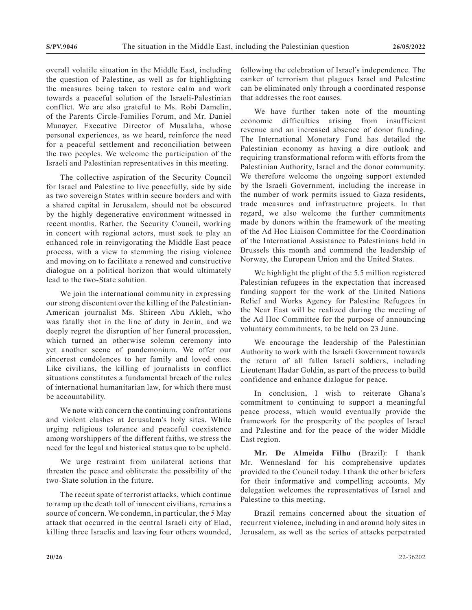overall volatile situation in the Middle East, including the question of Palestine, as well as for highlighting the measures being taken to restore calm and work towards a peaceful solution of the Israeli-Palestinian conflict. We are also grateful to Ms. Robi Damelin, of the Parents Circle-Families Forum, and Mr. Daniel Munayer, Executive Director of Musalaha, whose personal experiences, as we heard, reinforce the need for a peaceful settlement and reconciliation between the two peoples. We welcome the participation of the Israeli and Palestinian representatives in this meeting.

The collective aspiration of the Security Council for Israel and Palestine to live peacefully, side by side as two sovereign States within secure borders and with a shared capital in Jerusalem, should not be obscured by the highly degenerative environment witnessed in recent months. Rather, the Security Council, working in concert with regional actors, must seek to play an enhanced role in reinvigorating the Middle East peace process, with a view to stemming the rising violence and moving on to facilitate a renewed and constructive dialogue on a political horizon that would ultimately lead to the two-State solution.

We join the international community in expressing our strong discontent over the killing of the Palestinian-American journalist Ms. Shireen Abu Akleh, who was fatally shot in the line of duty in Jenin, and we deeply regret the disruption of her funeral procession, which turned an otherwise solemn ceremony into yet another scene of pandemonium. We offer our sincerest condolences to her family and loved ones. Like civilians, the killing of journalists in conflict situations constitutes a fundamental breach of the rules of international humanitarian law, for which there must be accountability.

We note with concern the continuing confrontations and violent clashes at Jerusalem's holy sites. While urging religious tolerance and peaceful coexistence among worshippers of the different faiths, we stress the need for the legal and historical status quo to be upheld.

We urge restraint from unilateral actions that threaten the peace and obliterate the possibility of the two-State solution in the future.

The recent spate of terrorist attacks, which continue to ramp up the death toll of innocent civilians, remains a source of concern. We condemn, in particular, the 5 May attack that occurred in the central Israeli city of Elad, killing three Israelis and leaving four others wounded, following the celebration of Israel's independence. The canker of terrorism that plagues Israel and Palestine can be eliminated only through a coordinated response that addresses the root causes.

We have further taken note of the mounting economic difficulties arising from insufficient revenue and an increased absence of donor funding. The International Monetary Fund has detailed the Palestinian economy as having a dire outlook and requiring transformational reform with efforts from the Palestinian Authority, Israel and the donor community. We therefore welcome the ongoing support extended by the Israeli Government, including the increase in the number of work permits issued to Gaza residents, trade measures and infrastructure projects. In that regard, we also welcome the further commitments made by donors within the framework of the meeting of the Ad Hoc Liaison Committee for the Coordination of the International Assistance to Palestinians held in Brussels this month and commend the leadership of Norway, the European Union and the United States.

We highlight the plight of the 5.5 million registered Palestinian refugees in the expectation that increased funding support for the work of the United Nations Relief and Works Agency for Palestine Refugees in the Near East will be realized during the meeting of the Ad Hoc Committee for the purpose of announcing voluntary commitments, to be held on 23 June.

We encourage the leadership of the Palestinian Authority to work with the Israeli Government towards the return of all fallen Israeli soldiers, including Lieutenant Hadar Goldin, as part of the process to build confidence and enhance dialogue for peace.

In conclusion, I wish to reiterate Ghana's commitment to continuing to support a meaningful peace process, which would eventually provide the framework for the prosperity of the peoples of Israel and Palestine and for the peace of the wider Middle East region.

**Mr. De Almeida Filho** (Brazil): I thank Mr. Wennesland for his comprehensive updates provided to the Council today. I thank the other briefers for their informative and compelling accounts. My delegation welcomes the representatives of Israel and Palestine to this meeting.

Brazil remains concerned about the situation of recurrent violence, including in and around holy sites in Jerusalem, as well as the series of attacks perpetrated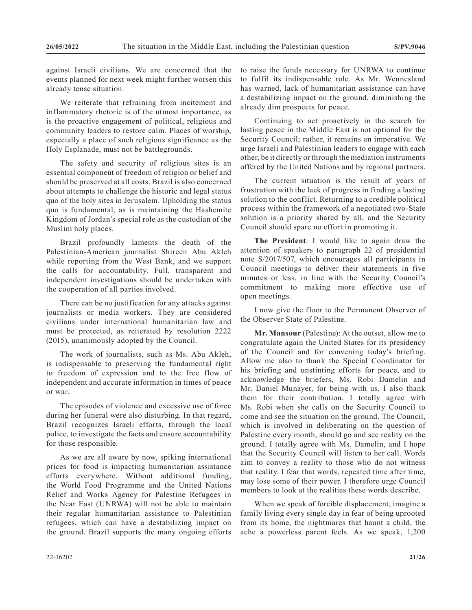against Israeli civilians. We are concerned that the events planned for next week might further worsen this already tense situation.

We reiterate that refraining from incitement and inflammatory rhetoric is of the utmost importance, as is the proactive engagement of political, religious and community leaders to restore calm. Places of worship, especially a place of such religious significance as the Holy Esplanade, must not be battlegrounds.

The safety and security of religious sites is an essential component of freedom of religion or belief and should be preserved at all costs. Brazil is also concerned about attempts to challenge the historic and legal status quo of the holy sites in Jerusalem. Upholding the status quo is fundamental, as is maintaining the Hashemite Kingdom of Jordan's special role as the custodian of the Muslim holy places.

Brazil profoundly laments the death of the Palestinian-American journalist Shireen Abu Akleh while reporting from the West Bank, and we support the calls for accountability. Full, transparent and independent investigations should be undertaken with the cooperation of all parties involved.

There can be no justification for any attacks against journalists or media workers. They are considered civilians under international humanitarian law and must be protected, as reiterated by resolution 2222 (2015), unanimously adopted by the Council.

The work of journalists, such as Ms. Abu Akleh, is indispensable to preserving the fundamental right to freedom of expression and to the free flow of independent and accurate information in times of peace or war.

The episodes of violence and excessive use of force during her funeral were also disturbing. In that regard, Brazil recognizes Israeli efforts, through the local police, to investigate the facts and ensure accountability for those responsible.

As we are all aware by now, spiking international prices for food is impacting humanitarian assistance efforts everywhere. Without additional funding, the World Food Programme and the United Nations Relief and Works Agency for Palestine Refugees in the Near East (UNRWA) will not be able to maintain their regular humanitarian assistance to Palestinian refugees, which can have a destabilizing impact on the ground. Brazil supports the many ongoing efforts

to raise the funds necessary for UNRWA to continue to fulfil its indispensable role. As Mr. Wennesland has warned, lack of humanitarian assistance can have a destabilizing impact on the ground, diminishing the already dim prospects for peace.

Continuing to act proactively in the search for lasting peace in the Middle East is not optional for the Security Council; rather, it remains an imperative. We urge Israeli and Palestinian leaders to engage with each other, be it directly or through the mediation instruments offered by the United Nations and by regional partners.

The current situation is the result of years of frustration with the lack of progress in finding a lasting solution to the conflict. Returning to a credible political process within the framework of a negotiated two-State solution is a priority shared by all, and the Security Council should spare no effort in promoting it.

**The President**: I would like to again draw the attention of speakers to paragraph 22 of presidential note S/2017/507, which encourages all participants in Council meetings to deliver their statements in five minutes or less, in line with the Security Council's commitment to making more effective use of open meetings.

I now give the floor to the Permanent Observer of the Observer State of Palestine.

**Mr. Mansour** (Palestine): At the outset, allow me to congratulate again the United States for its presidency of the Council and for convening today's briefing. Allow me also to thank the Special Coordinator for his briefing and unstinting efforts for peace, and to acknowledge the briefers, Ms. Robi Damelin and Mr. Daniel Munayer, for being with us. I also thank them for their contribution. I totally agree with Ms. Robi when she calls on the Security Council to come and see the situation on the ground. The Council, which is involved in deliberating on the question of Palestine every month, should go and see reality on the ground. I totally agree with Ms. Damelin, and I hope that the Security Council will listen to her call. Words aim to convey a reality to those who do not witness that reality. I fear that words, repeated time after time, may lose some of their power. I therefore urge Council members to look at the realities these words describe.

When we speak of forcible displacement, imagine a family living every single day in fear of being uprooted from its home, the nightmares that haunt a child, the ache a powerless parent feels. As we speak, 1,200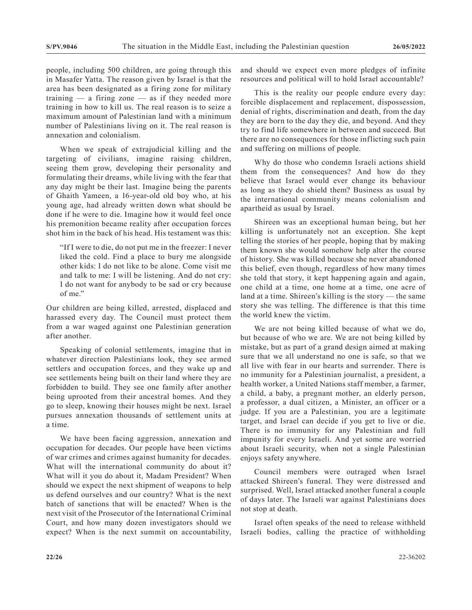people, including 500 children, are going through this in Masafer Yatta. The reason given by Israel is that the area has been designated as a firing zone for military training  $-$  a firing zone  $-$  as if they needed more training in how to kill us. The real reason is to seize a maximum amount of Palestinian land with a minimum number of Palestinians living on it. The real reason is annexation and colonialism.

When we speak of extrajudicial killing and the targeting of civilians, imagine raising children, seeing them grow, developing their personality and formulating their dreams, while living with the fear that any day might be their last. Imagine being the parents of Ghaith Yameen, a 16-year-old old boy who, at his young age, had already written down what should be done if he were to die. Imagine how it would feel once his premonition became reality after occupation forces shot him in the back of his head. His testament was this:

"If I were to die, do not put me in the freezer: I never liked the cold. Find a place to bury me alongside other kids: I do not like to be alone. Come visit me and talk to me: I will be listening. And do not cry: I do not want for anybody to be sad or cry because of me."

Our children are being killed, arrested, displaced and harassed every day. The Council must protect them from a war waged against one Palestinian generation after another.

Speaking of colonial settlements, imagine that in whatever direction Palestinians look, they see armed settlers and occupation forces, and they wake up and see settlements being built on their land where they are forbidden to build. They see one family after another being uprooted from their ancestral homes. And they go to sleep, knowing their houses might be next. Israel pursues annexation thousands of settlement units at a time.

We have been facing aggression, annexation and occupation for decades. Our people have been victims of war crimes and crimes against humanity for decades. What will the international community do about it? What will it you do about it, Madam President? When should we expect the next shipment of weapons to help us defend ourselves and our country? What is the next batch of sanctions that will be enacted? When is the next visit of the Prosecutor of the International Criminal Court, and how many dozen investigators should we expect? When is the next summit on accountability,

and should we expect even more pledges of infinite resources and political will to hold Israel accountable?

This is the reality our people endure every day: forcible displacement and replacement, dispossession, denial of rights, discrimination and death, from the day they are born to the day they die, and beyond. And they try to find life somewhere in between and succeed. But there are no consequences for those inflicting such pain and suffering on millions of people.

Why do those who condemn Israeli actions shield them from the consequences? And how do they believe that Israel would ever change its behaviour as long as they do shield them? Business as usual by the international community means colonialism and apartheid as usual by Israel.

Shireen was an exceptional human being, but her killing is unfortunately not an exception. She kept telling the stories of her people, hoping that by making them known she would somehow help alter the course of history. She was killed because she never abandoned this belief, even though, regardless of how many times she told that story, it kept happening again and again, one child at a time, one home at a time, one acre of land at a time. Shireen's killing is the story — the same story she was telling. The difference is that this time the world knew the victim.

We are not being killed because of what we do, but because of who we are. We are not being killed by mistake, but as part of a grand design aimed at making sure that we all understand no one is safe, so that we all live with fear in our hearts and surrender. There is no immunity for a Palestinian journalist, a president, a health worker, a United Nations staff member, a farmer, a child, a baby, a pregnant mother, an elderly person, a professor, a dual citizen, a Minister, an officer or a judge. If you are a Palestinian, you are a legitimate target, and Israel can decide if you get to live or die. There is no immunity for any Palestinian and full impunity for every Israeli. And yet some are worried about Israeli security, when not a single Palestinian enjoys safety anywhere.

Council members were outraged when Israel attacked Shireen's funeral. They were distressed and surprised. Well, Israel attacked another funeral a couple of days later. The Israeli war against Palestinians does not stop at death.

Israel often speaks of the need to release withheld Israeli bodies, calling the practice of withholding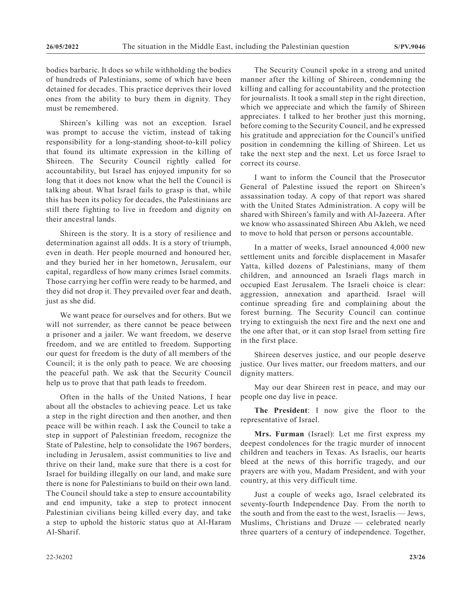bodies barbaric. It does so while withholding the bodies of hundreds of Palestinians, some of which have been detained for decades. This practice deprives their loved ones from the ability to bury them in dignity. They must be remembered.

Shireen's killing was not an exception. Israel was prompt to accuse the victim, instead of taking responsibility for a long-standing shoot-to-kill policy that found its ultimate expression in the killing of Shireen. The Security Council rightly called for accountability, but Israel has enjoyed impunity for so long that it does not know what the hell the Council is talking about. What Israel fails to grasp is that, while this has been its policy for decades, the Palestinians are still there fighting to live in freedom and dignity on their ancestral lands.

Shireen is the story. It is a story of resilience and determination against all odds. It is a story of triumph, even in death. Her people mourned and honoured her, and they buried her in her hometown, Jerusalem, our capital, regardless of how many crimes Israel commits. Those carrying her coffin were ready to be harmed, and they did not drop it. They prevailed over fear and death, just as she did.

We want peace for ourselves and for others. But we will not surrender, as there cannot be peace between a prisoner and a jailer. We want freedom, we deserve freedom, and we are entitled to freedom. Supporting our quest for freedom is the duty of all members of the Council; it is the only path to peace. We are choosing the peaceful path. We ask that the Security Council help us to prove that that path leads to freedom.

Often in the halls of the United Nations, I hear about all the obstacles to achieving peace. Let us take a step in the right direction and then another, and then peace will be within reach. I ask the Council to take a step in support of Palestinian freedom, recognize the State of Palestine, help to consolidate the 1967 borders, including in Jerusalem, assist communities to live and thrive on their land, make sure that there is a cost for Israel for building illegally on our land, and make sure there is none for Palestinians to build on their own land. The Council should take a step to ensure accountability and end impunity, take a step to protect innocent Palestinian civilians being killed every day, and take a step to uphold the historic status quo at Al-Haram Al-Sharif.

The Security Council spoke in a strong and united manner after the killing of Shireen, condemning the killing and calling for accountability and the protection for journalists. It took a small step in the right direction, which we appreciate and which the family of Shireen appreciates. I talked to her brother just this morning, before coming to the Security Council, and he expressed his gratitude and appreciation for the Council's unified position in condemning the killing of Shireen. Let us take the next step and the next. Let us force Israel to correct its course.

I want to inform the Council that the Prosecutor General of Palestine issued the report on Shireen's assassination today. A copy of that report was shared with the United States Administration. A copy will be shared with Shireen's family and with Al-Jazeera. After we know who assassinated Shireen Abu Akleh, we need to move to hold that person or persons accountable.

In a matter of weeks, Israel announced 4,000 new settlement units and forcible displacement in Masafer Yatta, killed dozens of Palestinians, many of them children, and announced an Israeli flags march in occupied East Jerusalem. The Israeli choice is clear: aggression, annexation and apartheid. Israel will continue spreading fire and complaining about the forest burning. The Security Council can continue trying to extinguish the next fire and the next one and the one after that, or it can stop Israel from setting fire in the first place.

Shireen deserves justice, and our people deserve justice. Our lives matter, our freedom matters, and our dignity matters.

May our dear Shireen rest in peace, and may our people one day live in peace.

**The President**: I now give the floor to the representative of Israel.

**Mrs. Furman** (Israel): Let me first express my deepest condolences for the tragic murder of innocent children and teachers in Texas. As Israelis, our hearts bleed at the news of this horrific tragedy, and our prayers are with you, Madam President, and with your country, at this very difficult time.

Just a couple of weeks ago, Israel celebrated its seventy-fourth Independence Day. From the north to the south and from the east to the west, Israelis — Jews, Muslims, Christians and Druze — celebrated nearly three quarters of a century of independence. Together,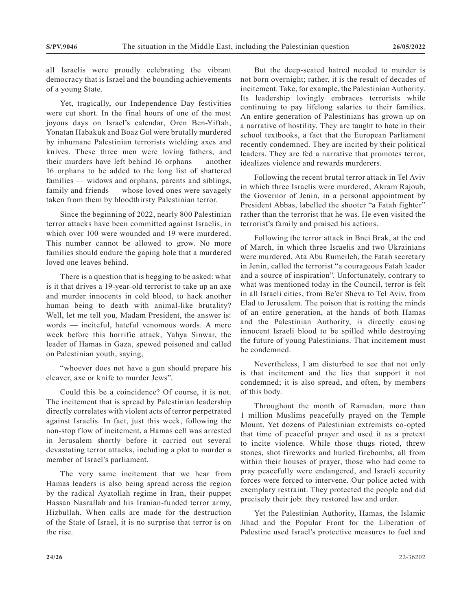all Israelis were proudly celebrating the vibrant democracy that is Israel and the bounding achievements of a young State.

Yet, tragically, our Independence Day festivities were cut short. In the final hours of one of the most joyous days on Israel's calendar, Oren Ben-Yiftah, Yonatan Habakuk and Boaz Gol were brutally murdered by inhumane Palestinian terrorists wielding axes and knives. These three men were loving fathers, and their murders have left behind 16 orphans — another 16 orphans to be added to the long list of shattered families — widows and orphans, parents and siblings, family and friends — whose loved ones were savagely taken from them by bloodthirsty Palestinian terror.

Since the beginning of 2022, nearly 800 Palestinian terror attacks have been committed against Israelis, in which over 100 were wounded and 19 were murdered. This number cannot be allowed to grow. No more families should endure the gaping hole that a murdered loved one leaves behind.

There is a question that is begging to be asked: what is it that drives a 19-year-old terrorist to take up an axe and murder innocents in cold blood, to hack another human being to death with animal-like brutality? Well, let me tell you, Madam President, the answer is: words — inciteful, hateful venomous words. A mere week before this horrific attack, Yahya Sinwar, the leader of Hamas in Gaza, spewed poisoned and called on Palestinian youth, saying,

"whoever does not have a gun should prepare his cleaver, axe or knife to murder Jews".

Could this be a coincidence? Of course, it is not. The incitement that is spread by Palestinian leadership directly correlates with violent acts of terror perpetrated against Israelis. In fact, just this week, following the non-stop flow of incitement, a Hamas cell was arrested in Jerusalem shortly before it carried out several devastating terror attacks, including a plot to murder a member of Israel's parliament.

The very same incitement that we hear from Hamas leaders is also being spread across the region by the radical Ayatollah regime in Iran, their puppet Hassan Nasrallah and his Iranian-funded terror army, Hizbullah. When calls are made for the destruction of the State of Israel, it is no surprise that terror is on the rise.

But the deep-seated hatred needed to murder is not born overnight; rather, it is the result of decades of incitement. Take, for example, the Palestinian Authority. Its leadership lovingly embraces terrorists while continuing to pay lifelong salaries to their families. An entire generation of Palestinians has grown up on a narrative of hostility. They are taught to hate in their school textbooks, a fact that the European Parliament recently condemned. They are incited by their political leaders. They are fed a narrative that promotes terror, idealizes violence and rewards murderers.

Following the recent brutal terror attack in Tel Aviv in which three Israelis were murdered, Akram Rajoub, the Governor of Jenin, in a personal appointment by President Abbas, labelled the shooter "a Fatah fighter" rather than the terrorist that he was. He even visited the terrorist's family and praised his actions.

Following the terror attack in Bnei Brak, at the end of March, in which three Israelis and two Ukrainians were murdered, Ata Abu Rumeileh, the Fatah secretary in Jenin, called the terrorist "a courageous Fatah leader and a source of inspiration". Unfortunately, contrary to what was mentioned today in the Council, terror is felt in all Israeli cities, from Be'er Sheva to Tel Aviv, from Elad to Jerusalem. The poison that is rotting the minds of an entire generation, at the hands of both Hamas and the Palestinian Authority, is directly causing innocent Israeli blood to be spilled while destroying the future of young Palestinians. That incitement must be condemned.

Nevertheless, I am disturbed to see that not only is that incitement and the lies that support it not condemned; it is also spread, and often, by members of this body.

Throughout the month of Ramadan, more than 1 million Muslims peacefully prayed on the Temple Mount. Yet dozens of Palestinian extremists co-opted that time of peaceful prayer and used it as a pretext to incite violence. While those thugs rioted, threw stones, shot fireworks and hurled firebombs, all from within their houses of prayer, those who had come to pray peacefully were endangered, and Israeli security forces were forced to intervene. Our police acted with exemplary restraint. They protected the people and did precisely their job: they restored law and order.

Yet the Palestinian Authority, Hamas, the Islamic Jihad and the Popular Front for the Liberation of Palestine used Israel's protective measures to fuel and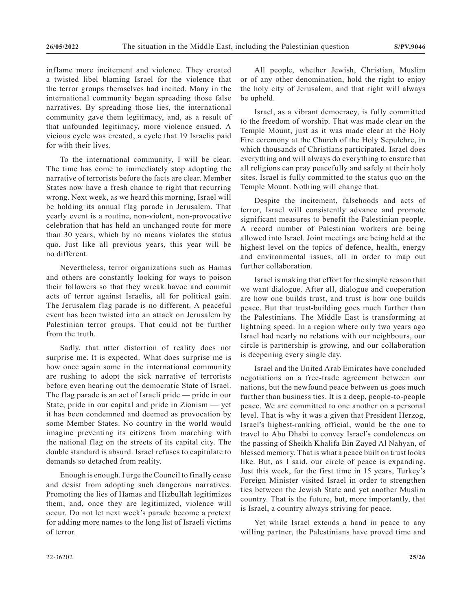inflame more incitement and violence. They created a twisted libel blaming Israel for the violence that the terror groups themselves had incited. Many in the international community began spreading those false narratives. By spreading those lies, the international community gave them legitimacy, and, as a result of that unfounded legitimacy, more violence ensued. A vicious cycle was created, a cycle that 19 Israelis paid for with their lives.

To the international community, I will be clear. The time has come to immediately stop adopting the narrative of terrorists before the facts are clear. Member States now have a fresh chance to right that recurring wrong. Next week, as we heard this morning, Israel will be holding its annual flag parade in Jerusalem. That yearly event is a routine, non-violent, non-provocative celebration that has held an unchanged route for more than 30 years, which by no means violates the status quo. Just like all previous years, this year will be no different.

Nevertheless, terror organizations such as Hamas and others are constantly looking for ways to poison their followers so that they wreak havoc and commit acts of terror against Israelis, all for political gain. The Jerusalem flag parade is no different. A peaceful event has been twisted into an attack on Jerusalem by Palestinian terror groups. That could not be further from the truth.

Sadly, that utter distortion of reality does not surprise me. It is expected. What does surprise me is how once again some in the international community are rushing to adopt the sick narrative of terrorists before even hearing out the democratic State of Israel. The flag parade is an act of Israeli pride — pride in our State, pride in our capital and pride in Zionism — yet it has been condemned and deemed as provocation by some Member States. No country in the world would imagine preventing its citizens from marching with the national flag on the streets of its capital city. The double standard is absurd. Israel refuses to capitulate to demands so detached from reality.

Enough is enough. I urge the Council to finally cease and desist from adopting such dangerous narratives. Promoting the lies of Hamas and Hizbullah legitimizes them, and, once they are legitimized, violence will occur. Do not let next week's parade become a pretext for adding more names to the long list of Israeli victims of terror.

All people, whether Jewish, Christian, Muslim or of any other denomination, hold the right to enjoy the holy city of Jerusalem, and that right will always be upheld.

Israel, as a vibrant democracy, is fully committed to the freedom of worship. That was made clear on the Temple Mount, just as it was made clear at the Holy Fire ceremony at the Church of the Holy Sepulchre, in which thousands of Christians participated. Israel does everything and will always do everything to ensure that all religions can pray peacefully and safely at their holy sites. Israel is fully committed to the status quo on the Temple Mount. Nothing will change that.

Despite the incitement, falsehoods and acts of terror, Israel will consistently advance and promote significant measures to benefit the Palestinian people. A record number of Palestinian workers are being allowed into Israel. Joint meetings are being held at the highest level on the topics of defence, health, energy and environmental issues, all in order to map out further collaboration.

Israel is making that effort for the simple reason that we want dialogue. After all, dialogue and cooperation are how one builds trust, and trust is how one builds peace. But that trust-building goes much further than the Palestinians. The Middle East is transforming at lightning speed. In a region where only two years ago Israel had nearly no relations with our neighbours, our circle is partnership is growing, and our collaboration is deepening every single day.

Israel and the United Arab Emirates have concluded negotiations on a free-trade agreement between our nations, but the newfound peace between us goes much further than business ties. It is a deep, people-to-people peace. We are committed to one another on a personal level. That is why it was a given that President Herzog, Israel's highest-ranking official, would be the one to travel to Abu Dhabi to convey Israel's condolences on the passing of Sheikh Khalifa Bin Zayed Al Nahyan, of blessed memory. That is what a peace built on trust looks like. But, as I said, our circle of peace is expanding. Just this week, for the first time in 15 years, Turkey's Foreign Minister visited Israel in order to strengthen ties between the Jewish State and yet another Muslim country. That is the future, but, more importantly, that is Israel, a country always striving for peace.

Yet while Israel extends a hand in peace to any willing partner, the Palestinians have proved time and